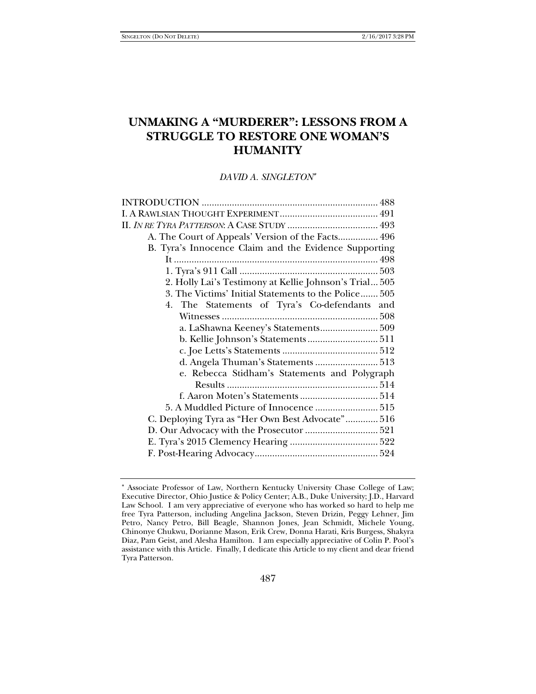# **UNMAKING A "MURDERER": LESSONS FROM A STRUGGLE TO RESTORE ONE WOMAN'S HUMANITY**

*DAVID A. SINGLETON*

| A. The Court of Appeals' Version of the Facts 496      |
|--------------------------------------------------------|
| B. Tyra's Innocence Claim and the Evidence Supporting  |
|                                                        |
|                                                        |
| 2. Holly Lai's Testimony at Kellie Johnson's Trial 505 |
| 3. The Victims' Initial Statements to the Police 505   |
| 4. The Statements of Tyra's Co-defendants and          |
|                                                        |
|                                                        |
|                                                        |
|                                                        |
| d. Angela Thuman's Statements  513                     |
| e. Rebecca Stidham's Statements and Polygraph          |
|                                                        |
|                                                        |
| 5. A Muddled Picture of Innocence  515                 |
| C. Deploying Tyra as "Her Own Best Advocate" 516       |
|                                                        |
|                                                        |
|                                                        |

Associate Professor of Law, Northern Kentucky University Chase College of Law; Executive Director, Ohio Justice & Policy Center; A.B., Duke University; J.D., Harvard Law School. I am very appreciative of everyone who has worked so hard to help me free Tyra Patterson, including Angelina Jackson, Steven Drizin, Peggy Lehner, Jim Petro, Nancy Petro, Bill Beagle, Shannon Jones, Jean Schmidt, Michele Young, Chinonye Chukwu, Dorianne Mason, Erik Crew, Donna Harati, Kris Burgess, Shakyra Diaz, Pam Geist, and Alesha Hamilton. I am especially appreciative of Colin P. Pool's assistance with this Article. Finally, I dedicate this Article to my client and dear friend Tyra Patterson.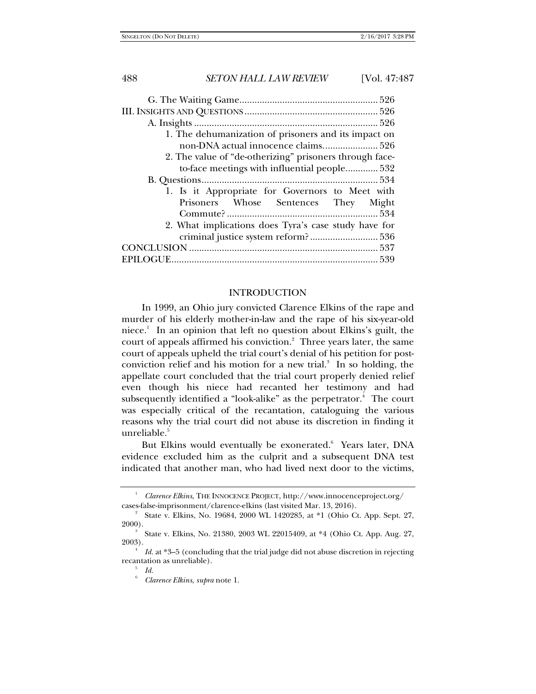| 1. The dehumanization of prisoners and its impact on    |
|---------------------------------------------------------|
| non-DNA actual innocence claims 526                     |
| 2. The value of "de-otherizing" prisoners through face- |
| to-face meetings with influential people 532            |
|                                                         |
| 1. Is it Appropriate for Governors to Meet with         |
| Prisoners Whose Sentences They Might                    |
|                                                         |
| 2. What implications does Tyra's case study have for    |
|                                                         |
|                                                         |
|                                                         |

#### INTRODUCTION

In 1999, an Ohio jury convicted Clarence Elkins of the rape and murder of his elderly mother-in-law and the rape of his six-year-old niece.1 In an opinion that left no question about Elkins's guilt, the court of appeals affirmed his conviction.<sup>2</sup> Three years later, the same court of appeals upheld the trial court's denial of his petition for postconviction relief and his motion for a new trial. $3$  In so holding, the appellate court concluded that the trial court properly denied relief even though his niece had recanted her testimony and had subsequently identified a "look-alike" as the perpetrator.<sup>4</sup> The court was especially critical of the recantation, cataloguing the various reasons why the trial court did not abuse its discretion in finding it unreliable.<sup>5</sup>

But Elkins would eventually be exonerated.<sup>6</sup> Years later, DNA evidence excluded him as the culprit and a subsequent DNA test indicated that another man, who had lived next door to the victims,

<sup>1</sup> *Clarence Elkins*, THE INNOCENCE PROJECT, http://www.innocenceproject.org/ cases-false-imprisonment/clarence-elkins (last visited Mar. 13, 2016). 2

State v. Elkins, No. 19684, 2000 WL 1420285, at \*1 (Ohio Ct. App. Sept. 27, 2000).

State v. Elkins, No. 21380, 2003 WL 22015409, at \*4 (Ohio Ct. App. Aug. 27,  $2003$ ).

*Id.* at \*3–5 (concluding that the trial judge did not abuse discretion in rejecting recantation as unreliable).

*Id.*

<sup>6</sup> *Clarence Elkins*, *supra* note 1.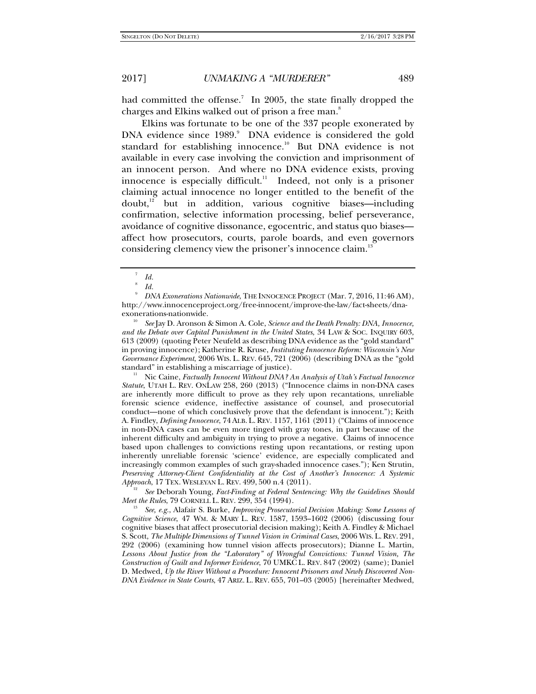had committed the offense.<sup>7</sup> In 2005, the state finally dropped the charges and Elkins walked out of prison a free man.<sup>8</sup>

Elkins was fortunate to be one of the 337 people exonerated by DNA evidence since 1989.<sup>9</sup> DNA evidence is considered the gold standard for establishing innocence.<sup>10</sup> But DNA evidence is not available in every case involving the conviction and imprisonment of an innocent person. And where no DNA evidence exists, proving innocence is especially difficult. $11$  Indeed, not only is a prisoner claiming actual innocence no longer entitled to the benefit of the  $doubt<sup>12</sup> but in addition, various cognitive biases—including$ confirmation, selective information processing, belief perseverance, avoidance of cognitive dissonance, egocentric, and status quo biases affect how prosecutors, courts, parole boards, and even governors considering clemency view the prisoner's innocence claim.<sup>13</sup>

9 *DNA Exonerations Nationwide*, THE INNOCENCE PROJECT (Mar. 7, 2016, 11:46 AM), http://www.innocenceproject.org/free-innocent/improve-the-law/fact-sheets/dna-

exonerations-nationwide. 10 *See* Jay D. Aronson & Simon A. Cole, *Science and the Death Penalty: DNA, Innocence, and the Debate over Capital Punishment in the United States*, 34 LAW & SOC. INQUIRY 603, 613 (2009) (quoting Peter Neufeld as describing DNA evidence as the "gold standard" in proving innocence); Katherine R. Kruse, *Instituting Innocence Reform: Wisconsin's New Governance Experiment*, 2006 WIS. L. REV. 645, 721 (2006) (describing DNA as the "gold standard" in establishing a miscarriage of justice).

11 Nic Caine, *Factually Innocent Without DNA? An Analysis of Utah's Factual Innocence Statute*, UTAH L. REV. ONLAW 258, 260 (2013) ("Innocence claims in non-DNA cases are inherently more difficult to prove as they rely upon recantations, unreliable forensic science evidence, ineffective assistance of counsel, and prosecutorial conduct—none of which conclusively prove that the defendant is innocent."); Keith A. Findley, *Defining Innocence*, 74 ALB. L. REV. 1157, 1161 (2011) ("Claims of innocence in non-DNA cases can be even more tinged with gray tones, in part because of the inherent difficulty and ambiguity in trying to prove a negative. Claims of innocence based upon challenges to convictions resting upon recantations, or resting upon inherently unreliable forensic 'science' evidence, are especially complicated and increasingly common examples of such gray-shaded innocence cases."); Ken Strutin, *Preserving Attorney-Client Confidentiality at the Cost of Another's Innocence: A Systemic Approach*, 17 TEX. WESLEYAN L. REV. 499, 500 n.4 (2011).

 *See* Deborah Young, *Fact-Finding at Federal Sentencing: Why the Guidelines Should Meet the Rules*, 79 CORNELL L. REV. 299, 354 (1994).

 *See, e.g.*, Alafair S. Burke, *Improving Prosecutorial Decision Making: Some Lessons of Cognitive Science*, 47 WM. & MARY L. REV. 1587, 1593–1602 (2006) (discussing four cognitive biases that affect prosecutorial decision making); Keith A. Findley & Michael S. Scott, *The Multiple Dimensions of Tunnel Vision in Criminal Cases*, 2006 WIS. L. REV. 291, 292 (2006) (examining how tunnel vision affects prosecutors); Dianne L. Martin, *Lessons About Justice from the "Laboratory" of Wrongful Convictions: Tunnel Vision, The Construction of Guilt and Informer Evidence*, 70 UMKC L. REV. 847 (2002) (same); Daniel D. Medwed, *Up the River Without a Procedure: Innocent Prisoners and Newly Discovered Non-DNA Evidence in State Courts*, 47 ARIZ. L. REV. 655, 701–03 (2005) [hereinafter Medwed,

<sup>7</sup> *Id.*

<sup>8</sup> *Id.*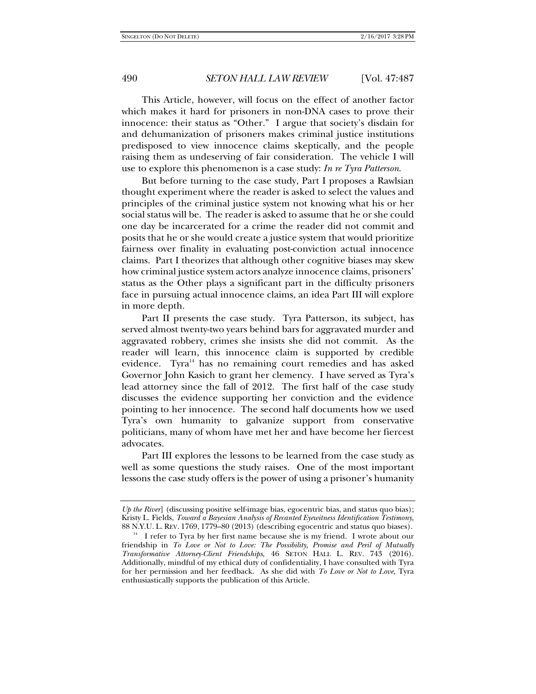This Article, however, will focus on the effect of another factor which makes it hard for prisoners in non-DNA cases to prove their innocence: their status as "Other." I argue that society's disdain for and dehumanization of prisoners makes criminal justice institutions predisposed to view innocence claims skeptically, and the people raising them as undeserving of fair consideration. The vehicle I will use to explore this phenomenon is a case study: *In re Tyra Patterson*.

But before turning to the case study, Part I proposes a Rawlsian thought experiment where the reader is asked to select the values and principles of the criminal justice system not knowing what his or her social status will be. The reader is asked to assume that he or she could one day be incarcerated for a crime the reader did not commit and posits that he or she would create a justice system that would prioritize fairness over finality in evaluating post-conviction actual innocence claims. Part I theorizes that although other cognitive biases may skew how criminal justice system actors analyze innocence claims, prisoners' status as the Other plays a significant part in the difficulty prisoners face in pursuing actual innocence claims, an idea Part III will explore in more depth.

Part II presents the case study. Tyra Patterson, its subject, has served almost twenty-two years behind bars for aggravated murder and aggravated robbery, crimes she insists she did not commit. As the reader will learn, this innocence claim is supported by credible evidence. Tyra $14}$  has no remaining court remedies and has asked Governor John Kasich to grant her clemency. I have served as Tyra's lead attorney since the fall of 2012. The first half of the case study discusses the evidence supporting her conviction and the evidence pointing to her innocence. The second half documents how we used Tyra's own humanity to galvanize support from conservative politicians, many of whom have met her and have become her fiercest advocates.

Part III explores the lessons to be learned from the case study as well as some questions the study raises. One of the most important lessons the case study offers is the power of using a prisoner's humanity

*Up the River*] (discussing positive self-image bias, egocentric bias, and status quo bias); Kristy L. Fields, *Toward a Bayesian Analysis of Recanted Eyewitness Identification Testimony*, 88 N.Y.U. L. REV. 1769, 1779–80 (2013) (describing egocentric and status quo biases).<br><sup>14</sup> I refer to Tyra by her first name because she is my friend. I wrote about our

friendship in *To Love or Not to Love: The Possibility, Promise and Peril of Mutually Transformative Attorney-Client Friendships*, 46 SETON HALL L. REV. 743 (2016). Additionally, mindful of my ethical duty of confidentiality, I have consulted with Tyra for her permission and her feedback. As she did with *To Love or Not to Love*, Tyra enthusiastically supports the publication of this Article.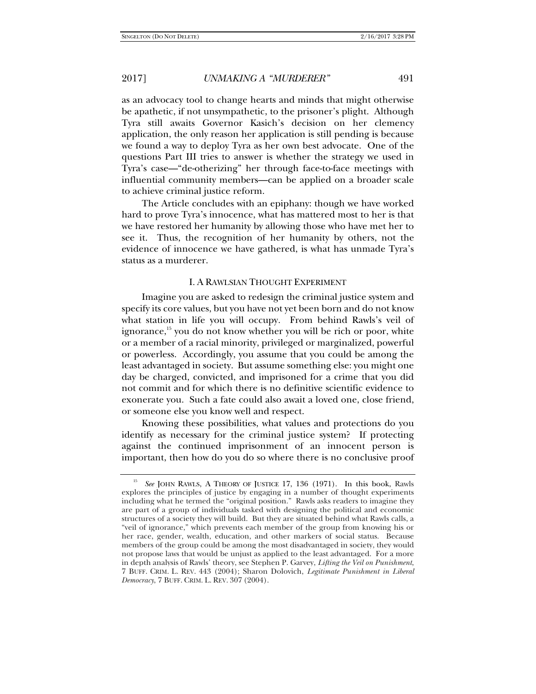as an advocacy tool to change hearts and minds that might otherwise be apathetic, if not unsympathetic, to the prisoner's plight. Although Tyra still awaits Governor Kasich's decision on her clemency application, the only reason her application is still pending is because we found a way to deploy Tyra as her own best advocate. One of the questions Part III tries to answer is whether the strategy we used in Tyra's case—"de-otherizing" her through face-to-face meetings with influential community members—can be applied on a broader scale to achieve criminal justice reform.

The Article concludes with an epiphany: though we have worked hard to prove Tyra's innocence, what has mattered most to her is that we have restored her humanity by allowing those who have met her to see it. Thus, the recognition of her humanity by others, not the evidence of innocence we have gathered, is what has unmade Tyra's status as a murderer.

#### I. A RAWLSIAN THOUGHT EXPERIMENT

Imagine you are asked to redesign the criminal justice system and specify its core values, but you have not yet been born and do not know what station in life you will occupy. From behind Rawls's veil of ignorance, $15$  you do not know whether you will be rich or poor, white or a member of a racial minority, privileged or marginalized, powerful or powerless. Accordingly, you assume that you could be among the least advantaged in society. But assume something else: you might one day be charged, convicted, and imprisoned for a crime that you did not commit and for which there is no definitive scientific evidence to exonerate you. Such a fate could also await a loved one, close friend, or someone else you know well and respect.

Knowing these possibilities, what values and protections do you identify as necessary for the criminal justice system? If protecting against the continued imprisonment of an innocent person is important, then how do you do so where there is no conclusive proof

<sup>15</sup> *See* JOHN RAWLS, A THEORY OF JUSTICE 17, 136 (1971). In this book, Rawls explores the principles of justice by engaging in a number of thought experiments including what he termed the "original position." Rawls asks readers to imagine they are part of a group of individuals tasked with designing the political and economic structures of a society they will build. But they are situated behind what Rawls calls, a "veil of ignorance," which prevents each member of the group from knowing his or her race, gender, wealth, education, and other markers of social status. Because members of the group could be among the most disadvantaged in society, they would not propose laws that would be unjust as applied to the least advantaged. For a more in depth analysis of Rawls' theory, see Stephen P. Garvey, *Lifting the Veil on Punishment*, 7 BUFF. CRIM. L. REV. 443 (2004); Sharon Dolovich, *Legitimate Punishment in Liberal Democracy*, 7 BUFF. CRIM. L. REV. 307 (2004).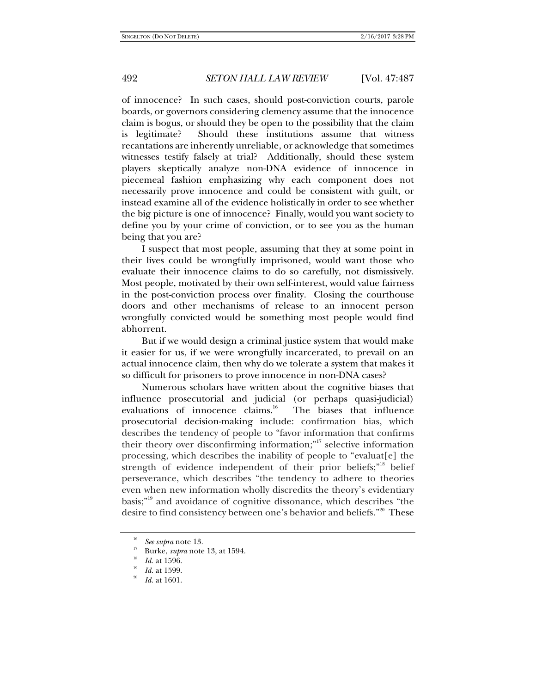of innocence? In such cases, should post-conviction courts, parole boards, or governors considering clemency assume that the innocence claim is bogus, or should they be open to the possibility that the claim is legitimate? Should these institutions assume that witness recantations are inherently unreliable, or acknowledge that sometimes witnesses testify falsely at trial? Additionally, should these system players skeptically analyze non-DNA evidence of innocence in piecemeal fashion emphasizing why each component does not necessarily prove innocence and could be consistent with guilt, or instead examine all of the evidence holistically in order to see whether the big picture is one of innocence? Finally, would you want society to define you by your crime of conviction, or to see you as the human being that you are?

I suspect that most people, assuming that they at some point in their lives could be wrongfully imprisoned, would want those who evaluate their innocence claims to do so carefully, not dismissively. Most people, motivated by their own self-interest, would value fairness in the post-conviction process over finality. Closing the courthouse doors and other mechanisms of release to an innocent person wrongfully convicted would be something most people would find abhorrent.

But if we would design a criminal justice system that would make it easier for us, if we were wrongfully incarcerated, to prevail on an actual innocence claim, then why do we tolerate a system that makes it so difficult for prisoners to prove innocence in non-DNA cases?

Numerous scholars have written about the cognitive biases that influence prosecutorial and judicial (or perhaps quasi-judicial) evaluations of innocence claims.<sup>16</sup> The biases that influence prosecutorial decision-making include: confirmation bias, which describes the tendency of people to "favor information that confirms their theory over disconfirming information;"17 selective information processing, which describes the inability of people to "evaluat[e] the strength of evidence independent of their prior beliefs;"<sup>18</sup> belief perseverance, which describes "the tendency to adhere to theories even when new information wholly discredits the theory's evidentiary basis;"19 and avoidance of cognitive dissonance, which describes "the desire to find consistency between one's behavior and beliefs."<sup>20</sup> These

<sup>16</sup>  $\frac{16}{17}$  *See supra* note 13.

Burke, *supra* note 13, at 1594.<br>Id. at 1596.

*Id.* at 1599.

*Id.* at 1601.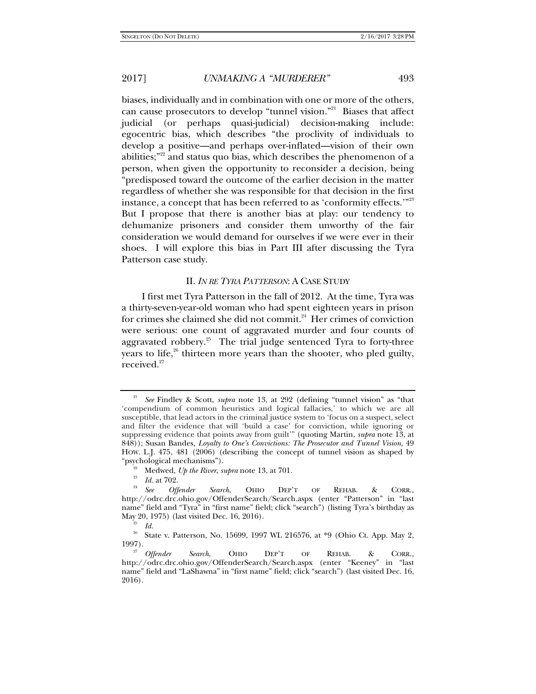biases, individually and in combination with one or more of the others, can cause prosecutors to develop "tunnel vision."21 Biases that affect judicial (or perhaps quasi-judicial) decision-making include: egocentric bias, which describes "the proclivity of individuals to develop a positive—and perhaps over-inflated—vision of their own abilities;"<sup>22</sup> and status quo bias, which describes the phenomenon of a person, when given the opportunity to reconsider a decision, being "predisposed toward the outcome of the earlier decision in the matter regardless of whether she was responsible for that decision in the first instance, a concept that has been referred to as 'conformity effects.'"<sup>23</sup> But I propose that there is another bias at play: our tendency to dehumanize prisoners and consider them unworthy of the fair consideration we would demand for ourselves if we were ever in their shoes. I will explore this bias in Part III after discussing the Tyra Patterson case study.

#### II. *IN RE TYRA PATTERSON*: A CASE STUDY

I first met Tyra Patterson in the fall of 2012. At the time, Tyra was a thirty-seven-year-old woman who had spent eighteen years in prison for crimes she claimed she did not commit.<sup>24</sup> Her crimes of conviction were serious: one count of aggravated murder and four counts of aggravated robbery.<sup>25</sup> The trial judge sentenced Tyra to forty-three years to life, $26$  thirteen more years than the shooter, who pled guilty, received.<sup>27</sup>

<sup>21</sup> *See* Findley & Scott, *supra* note 13, at 292 (defining "tunnel vision" as "that 'compendium of common heuristics and logical fallacies,' to which we are all susceptible, that lead actors in the criminal justice system to 'focus on a suspect, select and filter the evidence that will 'build a case' for conviction, while ignoring or suppressing evidence that points away from guilt'" (quoting Martin, *supra* note 13, at 848)); Susan Bandes, *Loyalty to One's Convictions: The Prosecutor and Tunnel Vision*, 49 HOW. L.J. 475, 481 (2006) (describing the concept of tunnel vision as shaped by "psychological mechanisms").

<sup>&</sup>lt;sup>22</sup> Medwed, *Up the River*, *supra* note 13, at 701.<br><sup>23</sup> *Id.* at 702.

*Id.* at 702. 24 *See Offender Search*, OHIO DEP'T OF REHAB. & CORR., http://odrc.drc.ohio.gov/OffenderSearch/Search.aspx (enter "Patterson" in "last name" field and "Tyra" in "first name" field; click "search") (listing Tyra's birthday as May 20, 1975) (last visited Dec. 16, 2016).

 $\frac{25}{26}$  *Id.* 

<sup>26</sup> State v. Patterson, No. 15699, 1997 WL 216576, at \*9 (Ohio Ct. App. May 2,  $1997$ ).

<sup>&</sup>lt;sup>27</sup> Offender Search, OHIO DEP'T OF REHAB. & CORR., http://odrc.drc.ohio.gov/OffenderSearch/Search.aspx (enter "Keeney" in "last name" field and "LaShawna" in "first name" field; click "search") (last visited Dec. 16, 2016).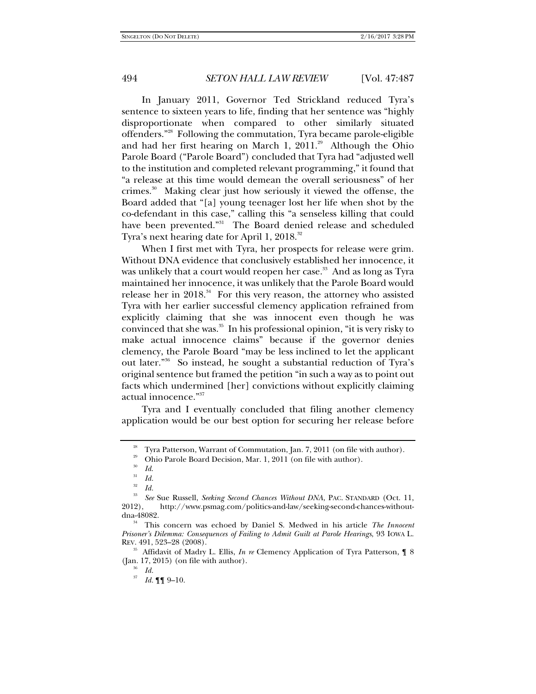In January 2011, Governor Ted Strickland reduced Tyra's sentence to sixteen years to life, finding that her sentence was "highly disproportionate when compared to other similarly situated offenders."28 Following the commutation, Tyra became parole-eligible and had her first hearing on March 1,  $2011.^{29}$  Although the Ohio Parole Board ("Parole Board") concluded that Tyra had "adjusted well to the institution and completed relevant programming," it found that "a release at this time would demean the overall seriousness" of her crimes. $30$  Making clear just how seriously it viewed the offense, the Board added that "[a] young teenager lost her life when shot by the co-defendant in this case," calling this "a senseless killing that could have been prevented."<sup>31</sup> The Board denied release and scheduled Tyra's next hearing date for April 1, 2018.<sup>32</sup>

When I first met with Tyra, her prospects for release were grim. Without DNA evidence that conclusively established her innocence, it was unlikely that a court would reopen her case.<sup>33</sup> And as long as Tyra maintained her innocence, it was unlikely that the Parole Board would release her in  $2018$ .<sup>34</sup> For this very reason, the attorney who assisted Tyra with her earlier successful clemency application refrained from explicitly claiming that she was innocent even though he was convinced that she was. $35$  In his professional opinion, "it is very risky to make actual innocence claims" because if the governor denies clemency, the Parole Board "may be less inclined to let the applicant out later."36 So instead, he sought a substantial reduction of Tyra's original sentence but framed the petition "in such a way as to point out facts which undermined [her] convictions without explicitly claiming actual innocence."37

Tyra and I eventually concluded that filing another clemency application would be our best option for securing her release before

<sup>35</sup> Affidavit of Madry L. Ellis, *In re* Clemency Application of Tyra Patterson, 18 (Jan. 17, 2015) (on file with author). 36 *Id.*

<sup>&</sup>lt;sup>28</sup> Tyra Patterson, Warrant of Commutation, Jan. 7, 2011 (on file with author).

<sup>29</sup> Ohio Parole Board Decision, Mar. 1, 2011 (on file with author).

<sup>30</sup> *Id*.

<sup>31</sup> *Id.*

<sup>32</sup>  $\frac{32}{33}$  *Id.* 

*See* Sue Russell, *Seeking Second Chances Without DNA*, PAC. STANDARD (Oct. 11, 2012), http://www.psmag.com/politics-and-law/seeking-second-chances-without-

<sup>&</sup>lt;sup>34</sup> This concern was echoed by Daniel S. Medwed in his article *The Innocent Prisoner's Dilemma: Consequences of Failing to Admit Guilt at Parole Hearings*, 93 IOWA L. REV. 491, 523–28 (2008).

 $^{37}$  *Id.*  $\P\P$  9–10.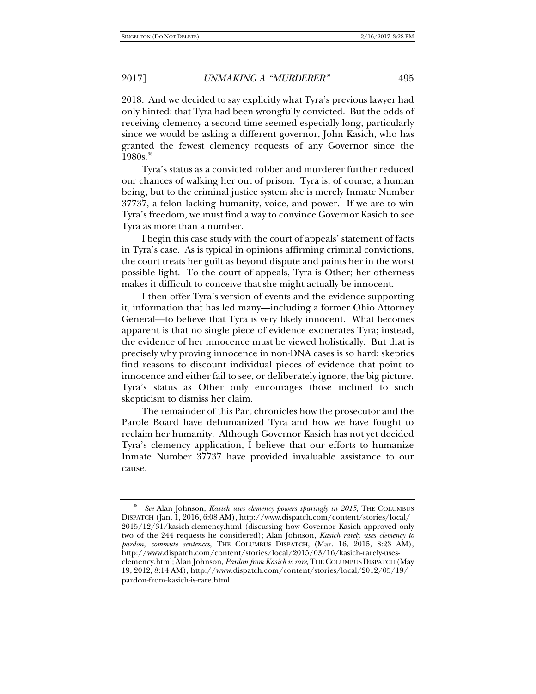2018. And we decided to say explicitly what Tyra's previous lawyer had only hinted: that Tyra had been wrongfully convicted. But the odds of receiving clemency a second time seemed especially long, particularly since we would be asking a different governor, John Kasich, who has granted the fewest clemency requests of any Governor since the 1980s.<sup>38</sup>

Tyra's status as a convicted robber and murderer further reduced our chances of walking her out of prison. Tyra is, of course, a human being, but to the criminal justice system she is merely Inmate Number 37737, a felon lacking humanity, voice, and power. If we are to win Tyra's freedom, we must find a way to convince Governor Kasich to see Tyra as more than a number.

I begin this case study with the court of appeals' statement of facts in Tyra's case. As is typical in opinions affirming criminal convictions, the court treats her guilt as beyond dispute and paints her in the worst possible light. To the court of appeals, Tyra is Other; her otherness makes it difficult to conceive that she might actually be innocent.

I then offer Tyra's version of events and the evidence supporting it, information that has led many—including a former Ohio Attorney General—to believe that Tyra is very likely innocent. What becomes apparent is that no single piece of evidence exonerates Tyra; instead, the evidence of her innocence must be viewed holistically. But that is precisely why proving innocence in non-DNA cases is so hard: skeptics find reasons to discount individual pieces of evidence that point to innocence and either fail to see, or deliberately ignore, the big picture. Tyra's status as Other only encourages those inclined to such skepticism to dismiss her claim.

The remainder of this Part chronicles how the prosecutor and the Parole Board have dehumanized Tyra and how we have fought to reclaim her humanity. Although Governor Kasich has not yet decided Tyra's clemency application, I believe that our efforts to humanize Inmate Number 37737 have provided invaluable assistance to our cause.

<sup>38</sup> *See* Alan Johnson, *Kasich uses clemency powers sparingly in 2015*, THE COLUMBUS DISPATCH (Jan. 1, 2016, 6:08 AM), http://www.dispatch.com/content/stories/local/ 2015/12/31/kasich-clemency.html (discussing how Governor Kasich approved only two of the 244 requests he considered); Alan Johnson, *Kasich rarely uses clemency to pardon, commute sentences*, THE COLUMBUS DISPATCH, (Mar. 16, 2015, 8:23 AM), http://www.dispatch.com/content/stories/local/2015/03/16/kasich-rarely-usesclemency.html; Alan Johnson, *Pardon from Kasich is rare*, THE COLUMBUS DISPATCH (May 19, 2012, 8:14 AM), http://www.dispatch.com/content/stories/local/2012/05/19/ pardon-from-kasich-is-rare.html.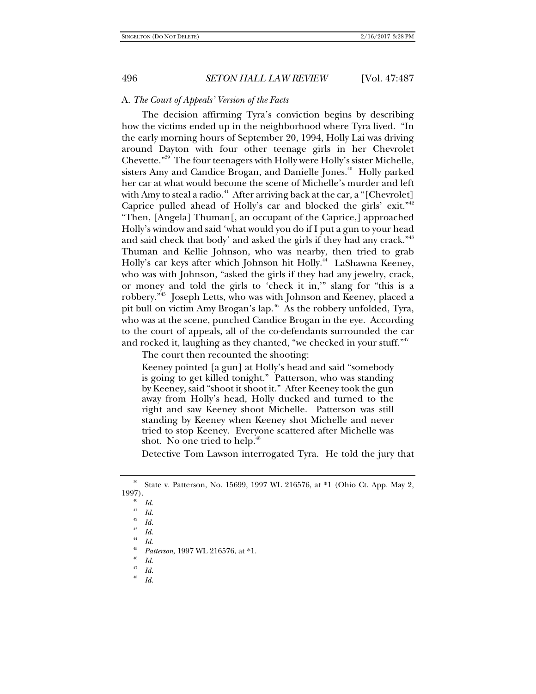#### A. *The Court of Appeals' Version of the Facts*

The decision affirming Tyra's conviction begins by describing how the victims ended up in the neighborhood where Tyra lived. "In the early morning hours of September 20, 1994, Holly Lai was driving around Dayton with four other teenage girls in her Chevrolet Chevette."39 The four teenagers with Holly were Holly's sister Michelle, sisters Amy and Candice Brogan, and Danielle Jones.<sup>40</sup> Holly parked her car at what would become the scene of Michelle's murder and left with Amy to steal a radio.<sup>41</sup> After arriving back at the car, a "[Chevrolet] Caprice pulled ahead of Holly's car and blocked the girls' exit."<sup>42</sup> "Then, [Angela] Thuman[, an occupant of the Caprice,] approached Holly's window and said 'what would you do if I put a gun to your head and said check that body' and asked the girls if they had any crack."<sup>43</sup> Thuman and Kellie Johnson, who was nearby, then tried to grab Holly's car keys after which Johnson hit Holly.<sup>44</sup> LaShawna Keeney, who was with Johnson, "asked the girls if they had any jewelry, crack, or money and told the girls to 'check it in,'" slang for "this is a robbery."45 Joseph Letts, who was with Johnson and Keeney, placed a pit bull on victim Amy Brogan's lap.<sup>46</sup> As the robbery unfolded, Tyra, who was at the scene, punched Candice Brogan in the eye. According to the court of appeals, all of the co-defendants surrounded the car and rocked it, laughing as they chanted, "we checked in your stuff."<sup>47</sup>

The court then recounted the shooting:

Keeney pointed [a gun] at Holly's head and said "somebody is going to get killed tonight." Patterson, who was standing by Keeney, said "shoot it shoot it." After Keeney took the gun away from Holly's head, Holly ducked and turned to the right and saw Keeney shoot Michelle. Patterson was still standing by Keeney when Keeney shot Michelle and never tried to stop Keeney. Everyone scattered after Michelle was shot. No one tried to help.<sup>48</sup>

Detective Tom Lawson interrogated Tyra. He told the jury that

<sup>39</sup> State v. Patterson, No. 15699, 1997 WL 216576, at \*1 (Ohio Ct. App. May 2, 1997).

*Id.*

<sup>41</sup> *Id.* 

<sup>42</sup> *Id.* 

<sup>43</sup> *Id.* 

<sup>44</sup> *Id.*

<sup>45</sup> *Patterson*, 1997 WL 216576, at \*1.

<sup>46</sup>  $\frac{46}{47}$  *Id.* 

*Id.* 

<sup>48</sup> *Id.*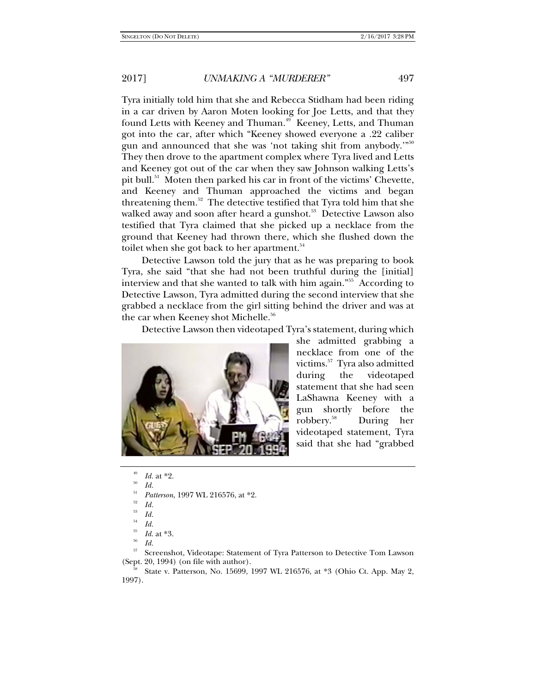Tyra initially told him that she and Rebecca Stidham had been riding in a car driven by Aaron Moten looking for Joe Letts, and that they found Letts with Keeney and Thuman.<sup>49</sup> Keeney, Letts, and Thuman got into the car, after which "Keeney showed everyone a .22 caliber gun and announced that she was 'not taking shit from anybody.'"<sup>50</sup> They then drove to the apartment complex where Tyra lived and Letts and Keeney got out of the car when they saw Johnson walking Letts's pit bull.51 Moten then parked his car in front of the victims' Chevette, and Keeney and Thuman approached the victims and began threatening them. $52$  The detective testified that Tyra told him that she walked away and soon after heard a gunshot.<sup>53</sup> Detective Lawson also testified that Tyra claimed that she picked up a necklace from the ground that Keeney had thrown there, which she flushed down the toilet when she got back to her apartment.<sup>54</sup>

Detective Lawson told the jury that as he was preparing to book Tyra, she said "that she had not been truthful during the [initial] interview and that she wanted to talk with him again."55 According to Detective Lawson, Tyra admitted during the second interview that she grabbed a necklace from the girl sitting behind the driver and was at the car when Keeney shot Michelle.<sup>56</sup>

Detective Lawson then videotaped Tyra's statement, during which



she admitted grabbing a necklace from one of the victims.57 Tyra also admitted during the videotaped statement that she had seen LaShawna Keeney with a gun shortly before the robbery.58 During her videotaped statement, Tyra said that she had "grabbed

51 *Patterson*, 1997 WL 216576, at \*2.

57 Screenshot, Videotape: Statement of Tyra Patterson to Detective Tom Lawson (Sept. 20, 1994) (on file with author).

State v. Patterson, No. 15699, 1997 WL 216576, at \*3 (Ohio Ct. App. May 2, 1997).

<sup>49</sup> *Id.* at \*2. *Id.* 

<sup>52</sup> *Id.*

<sup>53</sup> *Id.*

<sup>54</sup> *Id.*

<sup>55</sup> *Id.* at \*3.

*Id.*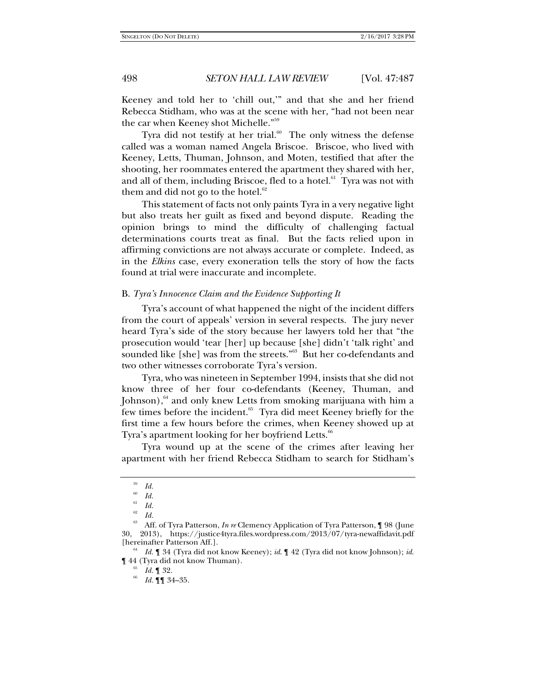Keeney and told her to 'chill out,'" and that she and her friend Rebecca Stidham, who was at the scene with her, "had not been near the car when Keeney shot Michelle."<sup>59</sup>

Tyra did not testify at her trial. $60$  The only witness the defense called was a woman named Angela Briscoe. Briscoe, who lived with Keeney, Letts, Thuman, Johnson, and Moten, testified that after the shooting, her roommates entered the apartment they shared with her, and all of them, including Briscoe, fled to a hotel.<sup>61</sup> Tyra was not with them and did not go to the hotel. $62$ 

This statement of facts not only paints Tyra in a very negative light but also treats her guilt as fixed and beyond dispute. Reading the opinion brings to mind the difficulty of challenging factual determinations courts treat as final. But the facts relied upon in affirming convictions are not always accurate or complete. Indeed, as in the *Elkins* case, every exoneration tells the story of how the facts found at trial were inaccurate and incomplete.

#### B. *Tyra's Innocence Claim and the Evidence Supporting It*

Tyra's account of what happened the night of the incident differs from the court of appeals' version in several respects. The jury never heard Tyra's side of the story because her lawyers told her that "the prosecution would 'tear [her] up because [she] didn't 'talk right' and sounded like [she] was from the streets."<sup>63</sup> But her co-defendants and two other witnesses corroborate Tyra's version.

Tyra, who was nineteen in September 1994, insists that she did not know three of her four co-defendants (Keeney, Thuman, and Johnson), $64$  and only knew Letts from smoking marijuana with him a few times before the incident.<sup>65</sup> Tyra did meet Keeney briefly for the first time a few hours before the crimes, when Keeney showed up at Tyra's apartment looking for her boyfriend Letts.<sup>66</sup>

Tyra wound up at the scene of the crimes after leaving her apartment with her friend Rebecca Stidham to search for Stidham's

<sup>59</sup> *Id.*

<sup>60</sup> *Id.* 

<sup>61</sup> *Id.*

<sup>62</sup> *Id.* 

<sup>63</sup> Aff. of Tyra Patterson, *In re* Clemency Application of Tyra Patterson, ¶ 98 (June 30, 2013), https://justice4tyra.files.wordpress.com/2013/07/tyra-newaffidavit.pdf [hereinafter Patterson Aff.].

*Id.* ¶ 34 (Tyra did not know Keeney); *id*. ¶ 42 (Tyra did not know Johnson); *id*.  $\P$ 44 (Tyra did not know Thuman).  $^{65}$  *Id.*  $\P$  32.

*Id.* ¶¶ 34–35.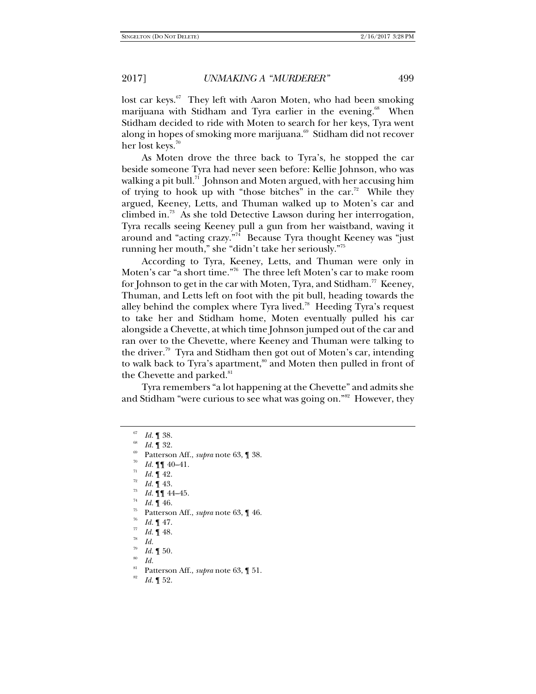lost car keys.<sup>67</sup> They left with Aaron Moten, who had been smoking marijuana with Stidham and Tyra earlier in the evening.<sup>68</sup> When Stidham decided to ride with Moten to search for her keys, Tyra went along in hopes of smoking more marijuana.<sup>69</sup> Stidham did not recover

her lost keys.<sup>70</sup>

As Moten drove the three back to Tyra's, he stopped the car beside someone Tyra had never seen before: Kellie Johnson, who was walking a pit bull. $71$  Johnson and Moten argued, with her accusing him of trying to hook up with "those bitches" in the car.<sup>72</sup> While they argued, Keeney, Letts, and Thuman walked up to Moten's car and climbed in.73 As she told Detective Lawson during her interrogation, Tyra recalls seeing Keeney pull a gun from her waistband, waving it around and "acting crazy."<sup>74</sup> Because Tyra thought Keeney was "just running her mouth," she "didn't take her seriously."75

According to Tyra, Keeney, Letts, and Thuman were only in Moten's car "a short time."76 The three left Moten's car to make room for Johnson to get in the car with Moten, Tyra, and Stidham.<sup>77</sup> Keeney, Thuman, and Letts left on foot with the pit bull, heading towards the alley behind the complex where Tyra lived.<sup>78</sup> Heeding Tyra's request to take her and Stidham home, Moten eventually pulled his car alongside a Chevette, at which time Johnson jumped out of the car and ran over to the Chevette, where Keeney and Thuman were talking to the driver.<sup>79</sup> Tyra and Stidham then got out of Moten's car, intending to walk back to Tyra's apartment,<sup>80</sup> and Moten then pulled in front of the Chevette and parked.<sup>81</sup>

Tyra remembers "a lot happening at the Chevette" and admits she and Stidham "were curious to see what was going on."<sup>82</sup> However, they

- 
- 
- *Id.* **[1** 44–45.<br>*Id.* **1** 46.
- 
- Patterson Aff., *supra* note 63, 146.
- *Id.*  $\P$  47.
- *Id.* 148.
- *Id.*
- 79  $Id. \P 50.$
- *Id.*
- Patterson Aff., *supra* note 63, 1 51.
- *Id.* ¶ 52.

<sup>67</sup> *Id.* 1 38.<br>*Id.* 1 32.

Patterson Aff., *supra* note 63, ¶ 38.

*Id.*  $\P\P$  40–41.<br>*Id.*  $\P$  42.<br>*Id.*  $\P$  43.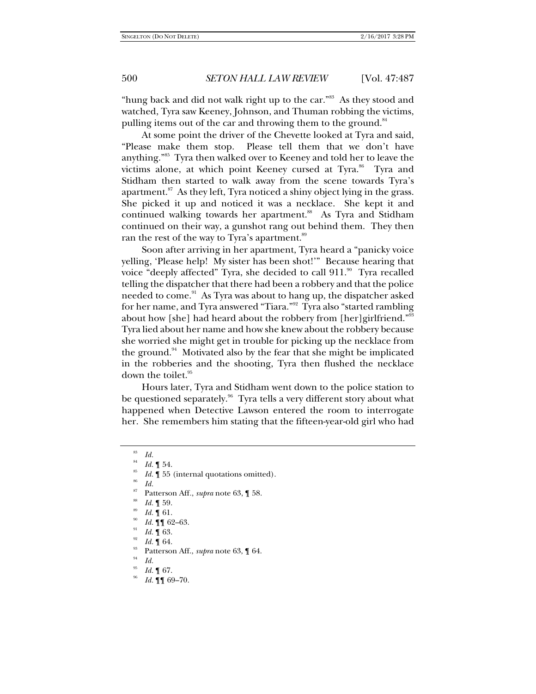"hung back and did not walk right up to the car."<sup>83</sup> As they stood and watched, Tyra saw Keeney, Johnson, and Thuman robbing the victims, pulling items out of the car and throwing them to the ground.<sup>84</sup>

At some point the driver of the Chevette looked at Tyra and said, "Please make them stop. Please tell them that we don't have anything."85 Tyra then walked over to Keeney and told her to leave the victims alone, at which point Keeney cursed at Tyra. $86$  Tyra and Stidham then started to walk away from the scene towards Tyra's apartment. $87$  As they left, Tyra noticed a shiny object lying in the grass. She picked it up and noticed it was a necklace. She kept it and continued walking towards her apartment.<sup>88</sup> As Tyra and Stidham continued on their way, a gunshot rang out behind them. They then ran the rest of the way to Tyra's apartment.<sup>89</sup>

Soon after arriving in her apartment, Tyra heard a "panicky voice yelling, 'Please help! My sister has been shot!'" Because hearing that voice "deeply affected" Tyra, she decided to call  $911.^{\circ\circ}$  Tyra recalled telling the dispatcher that there had been a robbery and that the police needed to come.<sup>91</sup> As Tyra was about to hang up, the dispatcher asked for her name, and Tyra answered "Tiara."92 Tyra also "started rambling about how [she] had heard about the robbery from [her]girlfriend."<sup>93</sup> Tyra lied about her name and how she knew about the robbery because she worried she might get in trouble for picking up the necklace from the ground.<sup>94</sup> Motivated also by the fear that she might be implicated in the robberies and the shooting, Tyra then flushed the necklace down the toilet.<sup>95</sup>

Hours later, Tyra and Stidham went down to the police station to be questioned separately.<sup>96</sup> Tyra tells a very different story about what happened when Detective Lawson entered the room to interrogate her. She remembers him stating that the fifteen-year-old girl who had

*Id.* 

Patterson Aff., *supra* note 63, 1 58.

<sup>83</sup> *Id.*

<sup>84</sup>

*Id.*  $\P$  54. **I** *Id.*  $\P$  55 (internal quotations omitted).

*Id.*  $\llbracket 59$ .

*Id.*  $\P$  61.

*Id.*  $\P\P$  62–63.

*Id.* 1 63.<br>*Id.* 1 64.

Patterson Aff., *supra* note 63, 164.

*Id.*

*Id.* 167.

*Id.* ¶¶ 69–70.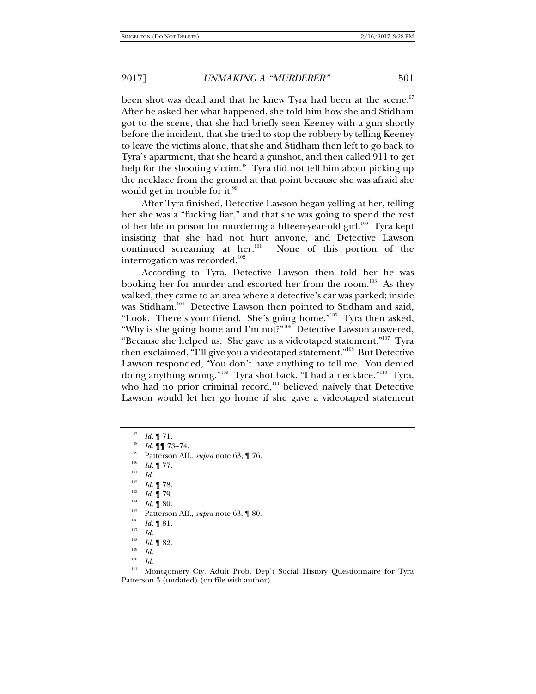been shot was dead and that he knew Tyra had been at the scene.<sup>97</sup> After he asked her what happened, she told him how she and Stidham got to the scene, that she had briefly seen Keeney with a gun shortly before the incident, that she tried to stop the robbery by telling Keeney to leave the victims alone, that she and Stidham then left to go back to Tyra's apartment, that she heard a gunshot, and then called 911 to get help for the shooting victim.<sup>98</sup> Tyra did not tell him about picking up the necklace from the ground at that point because she was afraid she would get in trouble for it.<sup>99</sup>

After Tyra finished, Detective Lawson began yelling at her, telling her she was a "fucking liar," and that she was going to spend the rest of her life in prison for murdering a fifteen-year-old girl.<sup>100</sup> Tyra kept insisting that she had not hurt anyone, and Detective Lawson continued screaming at her. $101$  None of this portion of the interrogation was recorded.<sup>102</sup>

According to Tyra, Detective Lawson then told her he was booking her for murder and escorted her from the room.<sup>103</sup> As they walked, they came to an area where a detective's car was parked; inside was Stidham.<sup>104</sup> Detective Lawson then pointed to Stidham and said, "Look. There's your friend. She's going home."<sup>105</sup> Tyra then asked, "Why is she going home and I'm not?"<sup>106</sup> Detective Lawson answered, "Because she helped us. She gave us a videotaped statement."<sup>107</sup> Tyra then exclaimed, "I'll give you a videotaped statement."108 But Detective Lawson responded, "You don't have anything to tell me. You denied doing anything wrong."109 Tyra shot back, "I had a necklace."110 Tyra, who had no prior criminal record, $111$  believed naïvely that Detective Lawson would let her go home if she gave a videotaped statement

102  $\frac{102}{103}$  *Id.* 1 78.

- <sup>103</sup> *Id.* ¶ 79.<br><sup>104</sup> *Id.* ¶ 80.
- 
- <sup>105</sup> Patterson Aff., *supra* note 63, **[**80.
- $\frac{106}{107}$  *Id.* 1 81.
- *Id.*
- 108  $\frac{108}{109}$  *Id.* 1 82.
- *Id.*
- 110  $\frac{110}{111}$  *Id.*

<sup>97</sup> *Id.* 1 71.<br>*Id.* 11 73–74.

<sup>&</sup>lt;sup>99</sup> Patterson Aff., *supra* note 63, ¶ 76.<br><sup>100</sup> *Id.* ¶ 77.<br>*Id. Id.* 

Montgomery Cty. Adult Prob. Dep't Social History Questionnaire for Tyra Patterson 3 (undated) (on file with author).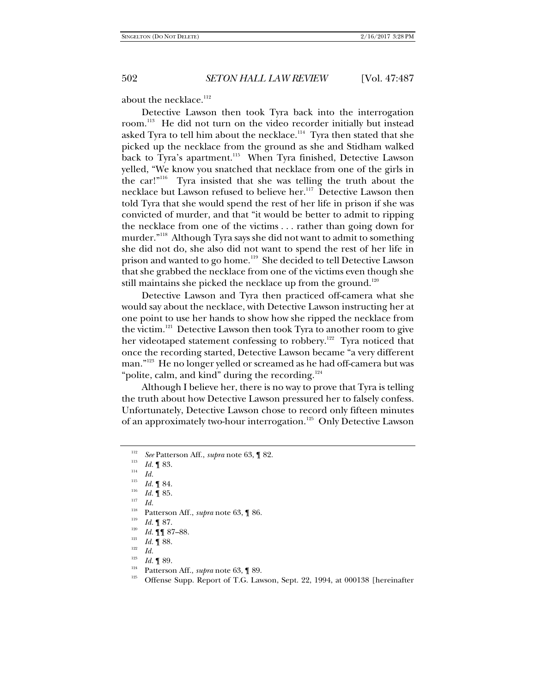about the necklace.<sup>112</sup>

Detective Lawson then took Tyra back into the interrogation room.<sup>113</sup> He did not turn on the video recorder initially but instead asked Tyra to tell him about the necklace.<sup>114</sup> Tyra then stated that she picked up the necklace from the ground as she and Stidham walked back to Tyra's apartment.<sup>115</sup> When Tyra finished, Detective Lawson yelled, "We know you snatched that necklace from one of the girls in the car!"116 Tyra insisted that she was telling the truth about the necklace but Lawson refused to believe her.<sup>117</sup> Detective Lawson then told Tyra that she would spend the rest of her life in prison if she was convicted of murder, and that "it would be better to admit to ripping the necklace from one of the victims . . . rather than going down for murder."118 Although Tyra says she did not want to admit to something she did not do, she also did not want to spend the rest of her life in prison and wanted to go home.<sup>119</sup> She decided to tell Detective Lawson that she grabbed the necklace from one of the victims even though she still maintains she picked the necklace up from the ground.<sup>120</sup>

Detective Lawson and Tyra then practiced off-camera what she would say about the necklace, with Detective Lawson instructing her at one point to use her hands to show how she ripped the necklace from the victim.121 Detective Lawson then took Tyra to another room to give her videotaped statement confessing to robbery.<sup>122</sup> Tyra noticed that once the recording started, Detective Lawson became "a very different man."<sup>123</sup> He no longer yelled or screamed as he had off-camera but was "polite, calm, and kind" during the recording.<sup>124</sup>

Although I believe her, there is no way to prove that Tyra is telling the truth about how Detective Lawson pressured her to falsely confess. Unfortunately, Detective Lawson chose to record only fifteen minutes of an approximately two-hour interrogation.<sup>125</sup> Only Detective Lawson

<sup>118</sup> Patterson Aff., *supra* note 63, ¶ 86.

- $\frac{121}{122}$  *Id.* 1 88.
- *Id.* 123
- 
- 
- <sup>123</sup> *Id.* ¶ 89.<br><sup>124</sup> Patterson Aff., *supra* note 63, ¶ 89.<br><sup>125</sup> Offense Supp. Report of T.G. Lawson, Sept. 22, 1994, at 000138 [hereinafter

<sup>112</sup> <sup>112</sup> *See* Patterson Aff., *supra* note 63, 1 82.

 $\begin{array}{cc} \n\frac{113}{114} & Id. \n\end{array}$  **Id.** 

<sup>115</sup> <sup>115</sup> *Id.* ¶ 84.<br><sup>116</sup> *Id.* ¶ 85.

 $\frac{117}{118}$  *Id.* 

 $\frac{119}{120}$  *Id.* 1 87.

 $I^{120}$  *Id.* [[[ 87–88.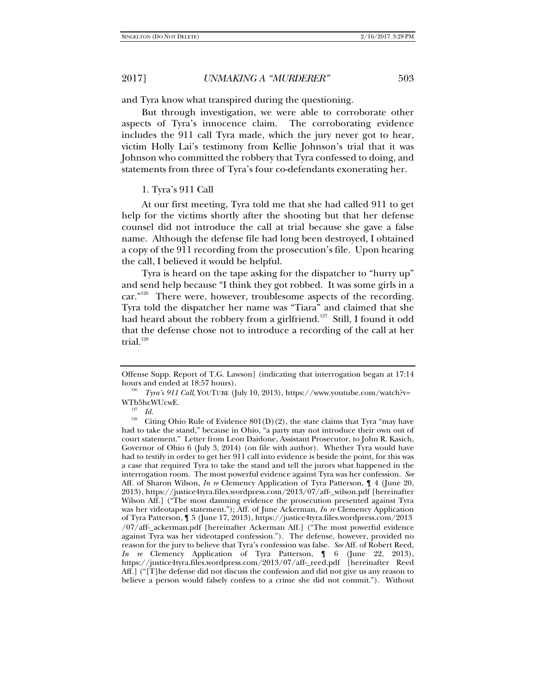and Tyra know what transpired during the questioning.

But through investigation, we were able to corroborate other aspects of Tyra's innocence claim. The corroborating evidence includes the 911 call Tyra made, which the jury never got to hear, victim Holly Lai's testimony from Kellie Johnson's trial that it was Johnson who committed the robbery that Tyra confessed to doing, and statements from three of Tyra's four co-defendants exonerating her.

#### 1. Tyra's 911 Call

At our first meeting, Tyra told me that she had called 911 to get help for the victims shortly after the shooting but that her defense counsel did not introduce the call at trial because she gave a false name. Although the defense file had long been destroyed, I obtained a copy of the 911 recording from the prosecution's file. Upon hearing the call, I believed it would be helpful.

Tyra is heard on the tape asking for the dispatcher to "hurry up" and send help because "I think they got robbed. It was some girls in a car."<sup>126</sup> There were, however, troublesome aspects of the recording. Tyra told the dispatcher her name was "Tiara" and claimed that she had heard about the robbery from a girlfriend.<sup>127</sup> Still, I found it odd that the defense chose not to introduce a recording of the call at her trial. $128$ 

Offense Supp. Report of T.G. Lawson] (indicating that interrogation began at 17:14 hours and ended at 18:57 hours).

*Tyra's 911 Call*, YOUTUBE (July 10, 2013), https://www.youtube.com/watch?v= WTb5hcWUcwE.

 $\frac{127}{128}$  *Id.* 

Citing Ohio Rule of Evidence  $801(D)(2)$ , the state claims that Tyra "may have had to take the stand," because in Ohio, "a party may not introduce their own out of court statement." Letter from Leon Daidone, Assistant Prosecutor, to John R. Kasich, Governor of Ohio 6 (July 3, 2014) (on file with author). Whether Tyra would have had to testify in order to get her 911 call into evidence is beside the point, for this was a case that required Tyra to take the stand and tell the jurors what happened in the interrogation room. The most powerful evidence against Tyra was her confession. *See* Aff. of Sharon Wilson, *In re* Clemency Application of Tyra Patterson, ¶ 4 (June 20, 2013), https://justice4tyra.files.wordpress.com/2013/07/aff-\_wilson.pdf [hereinafter Wilson Aff.] ("The most damning evidence the prosecution presented against Tyra was her videotaped statement."); Aff. of June Ackerman, *In re* Clemency Application of Tyra Patterson, ¶ 5 (June 17, 2013), https://justice4tyra.files.wordpress.com/2013 /07/aff-\_ackerman.pdf [hereinafter Ackerman Aff.] ("The most powerful evidence against Tyra was her videotaped confession."). The defense, however, provided no reason for the jury to believe that Tyra's confession was false. *See* Aff. of Robert Reed, *In re* Clemency Application of Tyra Patterson, ¶ 6 (June 22, 2013), https://justice4tyra.files.wordpress.com/2013/07/aff-\_reed.pdf [hereinafter Reed Aff.] ("[T]he defense did not discuss the confession and did not give us any reason to believe a person would falsely confess to a crime she did not commit."). Without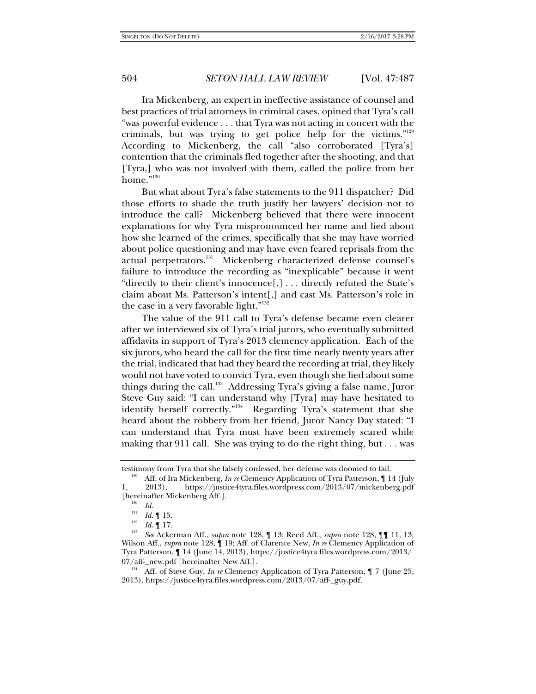Ira Mickenberg, an expert in ineffective assistance of counsel and best practices of trial attorneys in criminal cases, opined that Tyra's call "was powerful evidence . . . that Tyra was not acting in concert with the criminals, but was trying to get police help for the victims."129 According to Mickenberg, the call "also corroborated [Tyra's] contention that the criminals fled together after the shooting, and that [Tyra,] who was not involved with them, called the police from her home." $130$ 

But what about Tyra's false statements to the 911 dispatcher? Did those efforts to shade the truth justify her lawyers' decision not to introduce the call? Mickenberg believed that there were innocent explanations for why Tyra mispronounced her name and lied about how she learned of the crimes, specifically that she may have worried about police questioning and may have even feared reprisals from the actual perpetrators.131 Mickenberg characterized defense counsel's failure to introduce the recording as "inexplicable" because it went "directly to their client's innocence[,] . . . directly refuted the State's claim about Ms. Patterson's intent[,] and cast Ms. Patterson's role in the case in a very favorable light."<sup>132</sup>

The value of the 911 call to Tyra's defense became even clearer after we interviewed six of Tyra's trial jurors, who eventually submitted affidavits in support of Tyra's 2013 clemency application. Each of the six jurors, who heard the call for the first time nearly twenty years after the trial, indicated that had they heard the recording at trial, they likely would not have voted to convict Tyra, even though she lied about some things during the call.<sup>133</sup> Addressing Tyra's giving a false name, Juror Steve Guy said: "I can understand why [Tyra] may have hesitated to identify herself correctly."<sup>134</sup> Regarding Tyra's statement that she heard about the robbery from her friend, Juror Nancy Day stated: "I can understand that Tyra must have been extremely scared while making that 911 call. She was trying to do the right thing, but . . . was

testimony from Tyra that she falsely confessed, her defense was doomed to fail.<br><sup>129</sup> Aff. of Ira Mickenberg, *In re* Clemency Application of Tyra Patterson, ¶ 14 (July

<sup>1, 2013),</sup> https://justice4tyra.files.wordpress.com/2013/07/mickenberg.pdf [hereinafter Mickenberg Aff.].

*Id.*

<sup>131</sup>  $\frac{131}{132}$  *Id.* 15.

 $\frac{132}{133}$  *Id.* 17.

*See* Ackerman Aff., *supra* note 128, ¶ 13; Reed Aff., *supra* note 128, ¶¶ 11, 13; Wilson Aff., *supra* note 128, ¶ 19; Aff. of Clarence New, *In re* Clemency Application of Tyra Patterson, ¶ 14 (June 14, 2013), https://justice4tyra.files.wordpress.com/2013/

<sup>07/</sup>aff-\_new.pdf [hereinafter New Aff.].<br><sup>134</sup> Aff. of Steve Guy, *In re* Clemency Application of Tyra Patterson, ¶ 7 (June 25, 2013), https://justice4tyra.files.wordpress.com/2013/07/aff-\_guy.pdf.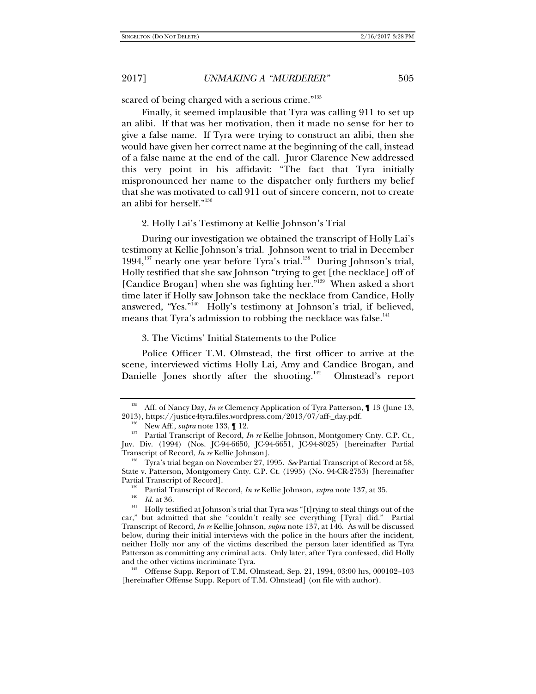scared of being charged with a serious crime."<sup>135</sup>

Finally, it seemed implausible that Tyra was calling 911 to set up an alibi. If that was her motivation, then it made no sense for her to give a false name. If Tyra were trying to construct an alibi, then she would have given her correct name at the beginning of the call, instead of a false name at the end of the call. Juror Clarence New addressed this very point in his affidavit: "The fact that Tyra initially mispronounced her name to the dispatcher only furthers my belief that she was motivated to call 911 out of sincere concern, not to create an alibi for herself."136

#### 2. Holly Lai's Testimony at Kellie Johnson's Trial

During our investigation we obtained the transcript of Holly Lai's testimony at Kellie Johnson's trial. Johnson went to trial in December 1994,<sup>137</sup> nearly one year before Tyra's trial.<sup>138</sup> During Johnson's trial, Holly testified that she saw Johnson "trying to get [the necklace] off of [Candice Brogan] when she was fighting her."<sup>139</sup> When asked a short time later if Holly saw Johnson take the necklace from Candice, Holly answered, "Yes."<sup>140</sup> Holly's testimony at Johnson's trial, if believed, means that Tyra's admission to robbing the necklace was false.<sup>141</sup>

3. The Victims' Initial Statements to the Police

Police Officer T.M. Olmstead, the first officer to arrive at the scene, interviewed victims Holly Lai, Amy and Candice Brogan, and Danielle Jones shortly after the shooting.<sup>142</sup> Olmstead's report

<sup>&</sup>lt;sup>135</sup> Aff. of Nancy Day, *In re* Clemency Application of Tyra Patterson, 1 13 (June 13, 2013), https://justice4tyra.files.wordpress.com/2013/07/aff-\_day.pdf.

<sup>&</sup>lt;sup>136</sup> New Aff., *supra* note 133, ¶ 12.<br><sup>137</sup> Partial Transcript of Record, *In re* Kellie Johnson, Montgomery Cnty. C.P. Ct., Juv. Div. (1994) (Nos. JC-94-6650, JC-94-6651, JC-94-8025) [hereinafter Partial Transcript of Record, *In re* Kellie Johnson].

<sup>&</sup>lt;sup>138</sup> Tyra's trial began on November 27, 1995. *See* Partial Transcript of Record at 58, State v. Patterson, Montgomery Cnty. C.P. Ct. (1995) (No. 94-CR-2753) [hereinafter Partial Transcript of Record].<br><sup>139</sup> Partial Transcript of Record, *In re* Kellie Johnson, *supra* note 137, at 35.<br><sup>140</sup> *Id.* at 36.

<sup>&</sup>lt;sup>141</sup> Holly testified at Johnson's trial that Tyra was "[t]rying to steal things out of the car," but admitted that she "couldn't really see everything [Tyra] did." Partial Transcript of Record, *In re* Kellie Johnson, *supra* note 137, at 146. As will be discussed below, during their initial interviews with the police in the hours after the incident, neither Holly nor any of the victims described the person later identified as Tyra Patterson as committing any criminal acts. Only later, after Tyra confessed, did Holly and the other victims incriminate Tyra.<br><sup>142</sup> Offense Supp. Report of T.M. Olmstead, Sep. 21, 1994, 03:00 hrs, 000102–103

<sup>[</sup>hereinafter Offense Supp. Report of T.M. Olmstead] (on file with author).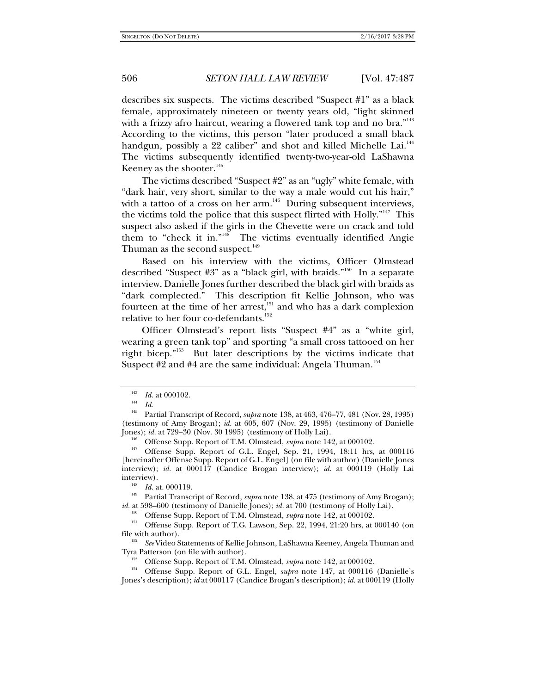describes six suspects. The victims described "Suspect #1" as a black female, approximately nineteen or twenty years old, "light skinned with a frizzy afro haircut, wearing a flowered tank top and no bra." $143$ According to the victims, this person "later produced a small black handgun, possibly a 22 caliber" and shot and killed Michelle Lai.<sup>144</sup> The victims subsequently identified twenty-two-year-old LaShawna Keeney as the shooter.<sup>145</sup>

The victims described "Suspect #2" as an "ugly" white female, with "dark hair, very short, similar to the way a male would cut his hair," with a tattoo of a cross on her arm.<sup>146</sup> During subsequent interviews, the victims told the police that this suspect flirted with Holly."147 This suspect also asked if the girls in the Chevette were on crack and told them to "check it in."148 The victims eventually identified Angie Thuman as the second suspect.<sup>149</sup>

Based on his interview with the victims, Officer Olmstead described "Suspect #3" as a "black girl, with braids."<sup>150</sup> In a separate interview, Danielle Jones further described the black girl with braids as "dark complected." This description fit Kellie Johnson, who was fourteen at the time of her arrest,<sup>151</sup> and who has a dark complexion relative to her four co-defendants.<sup>152</sup>

Officer Olmstead's report lists "Suspect #4" as a "white girl, wearing a green tank top" and sporting "a small cross tattooed on her right bicep."153 But later descriptions by the victims indicate that Suspect  $#2$  and  $#4$  are the same individual: Angela Thuman.<sup>154</sup>

 $\frac{143}{144}$  *Id.* at 000102.

 $\frac{144}{145}$  *Id.* 

<sup>145</sup> Partial Transcript of Record, *supra* note 138, at 463, 476–77, 481 (Nov. 28, 1995) (testimony of Amy Brogan); *id.* at 605, 607 (Nov. 29, 1995) (testimony of Danielle

<sup>&</sup>lt;sup>146</sup> Offense Supp. Report of T.M. Olmstead, *supra* note 142, at 000102.<br><sup>147</sup> Offense Supp. Report of G.L. Engel, Sep. 21, 1994, 18:11 hrs, at 000116 [hereinafter Offense Supp. Report of G.L. Engel] (on file with author) (Danielle Jones interview); *id.* at 000117 (Candice Brogan interview); *id.* at 000119 (Holly Lai interview).<br><sup>148</sup> *Id.* at. 000119.<br><sup>149</sup> Partial Transcript of Record, *supra* note 138, at 475 (testimony of Amy Brogan);

*id.* at 598–600 (testimony of Danielle Jones); *id.* at 700 (testimony of Holly Lai).<br><sup>150</sup> Offense Supp. Report of T.M. Olmstead, *supra* note 142, at 000102.<br><sup>151</sup> Offense Supp. Report of T.G. Lawson, Sep. 22, 1994, 21 file with author).

*See* Video Statements of Kellie Johnson, LaShawna Keeney, Angela Thuman and Tyra Patterson (on file with author). 153 Offense Supp. Report of T.M. Olmstead, *supra* note 142, at 000102. 154 Offense Supp. Report of G.L. Engel, *supra* note 147, at 000116 (Danielle's

Jones's description); *id* at 000117 (Candice Brogan's description); *id.* at 000119 (Holly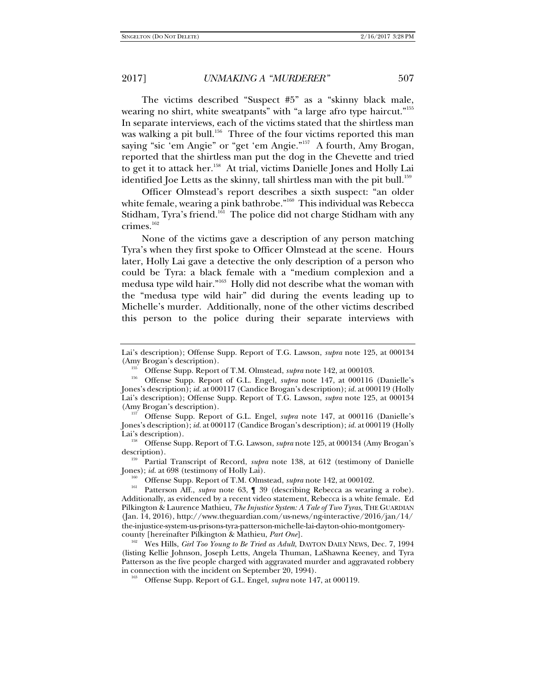The victims described "Suspect #5" as a "skinny black male, wearing no shirt, white sweatpants" with "a large afro type haircut."<sup>155</sup> In separate interviews, each of the victims stated that the shirtless man was walking a pit bull.<sup>156</sup> Three of the four victims reported this man saying "sic 'em Angie" or "get 'em Angie."157 A fourth, Amy Brogan, reported that the shirtless man put the dog in the Chevette and tried to get it to attack her.<sup>158</sup> At trial, victims Danielle Jones and Holly Lai identified Joe Letts as the skinny, tall shirtless man with the pit bull.<sup>159</sup>

Officer Olmstead's report describes a sixth suspect: "an older white female, wearing a pink bathrobe."<sup>160</sup> This individual was Rebecca Stidham, Tyra's friend.<sup>161</sup> The police did not charge Stidham with any crimes.<sup>162</sup>

None of the victims gave a description of any person matching Tyra's when they first spoke to Officer Olmstead at the scene. Hours later, Holly Lai gave a detective the only description of a person who could be Tyra: a black female with a "medium complexion and a medusa type wild hair."163 Holly did not describe what the woman with the "medusa type wild hair" did during the events leading up to Michelle's murder. Additionally, none of the other victims described this person to the police during their separate interviews with

description). 159 Partial Transcript of Record, *supra* note 138, at 612 (testimony of Danielle

Jones); *id.* at 698 (testimony of Holly Lai).<br><sup>160</sup> Offense Supp. Report of T.M. Olmstead, *supra* note 142, at 000102.<br><sup>161</sup> Patterson Aff., *supra* note 63, ¶ 39 (describing Rebecca as wearing a robe).

<sup>162</sup> Wes Hills, *Girl Too Young to Be Tried as Adult*, DAYTON DAILY NEWS, Dec. 7, 1994 (listing Kellie Johnson, Joseph Letts, Angela Thuman, LaShawna Keeney, and Tyra Patterson as the five people charged with aggravated murder and aggravated robbery in connection with the incident on September 20, 1994). 163 Offense Supp. Report of G.L. Engel, *supra* note 147, at 000119.

Lai's description); Offense Supp. Report of T.G. Lawson, *supra* note 125, at 000134

<sup>&</sup>lt;sup>155</sup> Offense Supp. Report of T.M. Olmstead, *supra* note 142, at 000103.<br><sup>156</sup> Offense Supp. Report of G.L. Engel, *supra* note 147, at 000116 (Danielle's Jones's description); *id.* at 000117 (Candice Brogan's description); *id.* at 000119 (Holly Lai's description); Offense Supp. Report of T.G. Lawson, *supra* note 125, at 000134 (Amy Brogan's description). 157 Offense Supp. Report of G.L. Engel, *supra* note 147, at 000116 (Danielle's

Jones's description); *id.* at 000117 (Candice Brogan's description); *id.* at 000119 (Holly Lai's description). 158 Offense Supp. Report of T.G. Lawson, *supra* note 125, at 000134 (Amy Brogan's

Additionally, as evidenced by a recent video statement, Rebecca is a white female. Ed Pilkington & Laurence Mathieu, *The Injustice System: A Tale of Two Tyras*, THE GUARDIAN (Jan. 14, 2016), http://www.theguardian.com/us-news/ng-interactive/2016/jan/14/ the-injustice-system-us-prisons-tyra-patterson-michelle-lai-dayton-ohio-montgomery-<br>county [hereinafter Pilkington & Mathieu, Part One].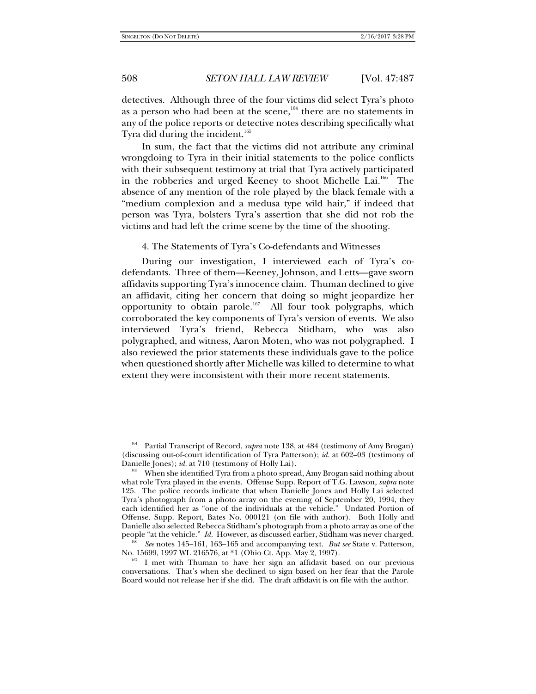detectives. Although three of the four victims did select Tyra's photo as a person who had been at the scene, $164$  there are no statements in any of the police reports or detective notes describing specifically what Tyra did during the incident.<sup>165</sup>

In sum, the fact that the victims did not attribute any criminal wrongdoing to Tyra in their initial statements to the police conflicts with their subsequent testimony at trial that Tyra actively participated in the robberies and urged Keeney to shoot Michelle Lai.<sup>166</sup> The absence of any mention of the role played by the black female with a "medium complexion and a medusa type wild hair," if indeed that person was Tyra, bolsters Tyra's assertion that she did not rob the victims and had left the crime scene by the time of the shooting.

4. The Statements of Tyra's Co-defendants and Witnesses

During our investigation, I interviewed each of Tyra's codefendants. Three of them—Keeney, Johnson, and Letts—gave sworn affidavits supporting Tyra's innocence claim. Thuman declined to give an affidavit, citing her concern that doing so might jeopardize her opportunity to obtain parole.167 All four took polygraphs, which corroborated the key components of Tyra's version of events. We also interviewed Tyra's friend, Rebecca Stidham, who was also polygraphed, and witness, Aaron Moten, who was not polygraphed. I also reviewed the prior statements these individuals gave to the police when questioned shortly after Michelle was killed to determine to what extent they were inconsistent with their more recent statements.

<sup>164</sup> Partial Transcript of Record, *supra* note 138, at 484 (testimony of Amy Brogan) (discussing out-of-court identification of Tyra Patterson); *id.* at 602–03 (testimony of

<sup>&</sup>lt;sup>165</sup> When she identified Tyra from a photo spread, Amy Brogan said nothing about what role Tyra played in the events. Offense Supp. Report of T.G. Lawson, *supra* note 125. The police records indicate that when Danielle Jones and Holly Lai selected Tyra's photograph from a photo array on the evening of September 20, 1994, they each identified her as "one of the individuals at the vehicle." Undated Portion of Offense. Supp. Report, Bates No. 000121 (on file with author). Both Holly and Danielle also selected Rebecca Stidham's photograph from a photo array as one of the people "at the vehicle." *Id.* However, as discussed earlier, Stidham was never charged.

<sup>&</sup>lt;sup>166</sup> See notes 145–161, 163–165 and accompanying text. *But see* State v. Patterson, No. 15699, 1997 WL 216576, at \*1 (Ohio Ct. App. May 2, 1997).

I met with Thuman to have her sign an affidavit based on our previous conversations. That's when she declined to sign based on her fear that the Parole Board would not release her if she did. The draft affidavit is on file with the author.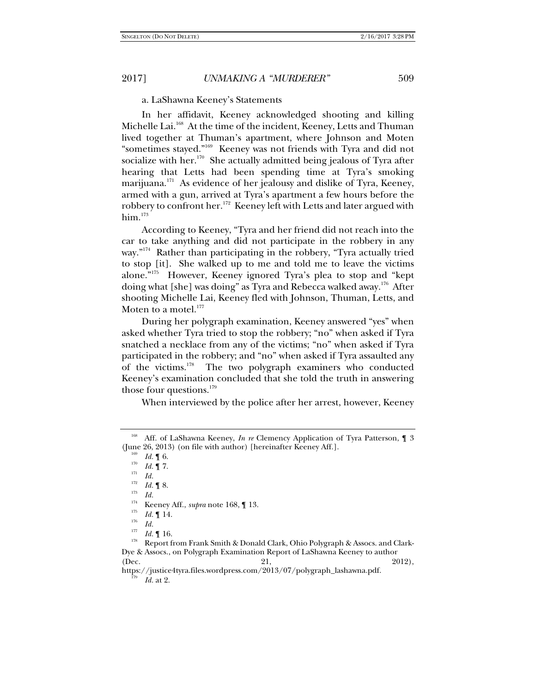a. LaShawna Keeney's Statements

In her affidavit, Keeney acknowledged shooting and killing Michelle Lai.<sup>168</sup> At the time of the incident, Keeney, Letts and Thuman lived together at Thuman's apartment, where Johnson and Moten "sometimes stayed."169 Keeney was not friends with Tyra and did not socialize with her.<sup>170</sup> She actually admitted being jealous of Tyra after hearing that Letts had been spending time at Tyra's smoking marijuana. $171$  As evidence of her jealousy and dislike of Tyra, Keeney, armed with a gun, arrived at Tyra's apartment a few hours before the robbery to confront her.<sup>172</sup> Keeney left with Letts and later argued with  $him.<sup>173</sup>$ 

According to Keeney, "Tyra and her friend did not reach into the car to take anything and did not participate in the robbery in any way."<sup>174</sup> Rather than participating in the robbery, "Tyra actually tried to stop [it]. She walked up to me and told me to leave the victims alone."175 However, Keeney ignored Tyra's plea to stop and "kept doing what [she] was doing" as Tyra and Rebecca walked away.<sup>176</sup> After shooting Michelle Lai, Keeney fled with Johnson, Thuman, Letts, and Moten to a motel.<sup>177</sup>

During her polygraph examination, Keeney answered "yes" when asked whether Tyra tried to stop the robbery; "no" when asked if Tyra snatched a necklace from any of the victims; "no" when asked if Tyra participated in the robbery; and "no" when asked if Tyra assaulted any of the victims.178 The two polygraph examiners who conducted Keeney's examination concluded that she told the truth in answering those four questions. $179$ 

When interviewed by the police after her arrest, however, Keeney

177

<sup>&</sup>lt;sup>168</sup> Aff. of LaShawna Keeney, *In re* Clemency Application of Tyra Patterson, 13 (June 26, 2013) (on file with author) [hereinafter Keeney Aff.].<br>  $Id. \P$  6.

 $\frac{109}{170}$  *Id.* 16.

 $\frac{170}{171}$  *Id.* 1 7.

 $\frac{171}{172}$  *Id.* 

 $\begin{array}{cc} \n\frac{172}{173} & Id. \n\end{array}$  **Id.**  $\begin{array}{cc} \n\frac{173}{174} & \text{I} & \n\end{array}$ 

<sup>&</sup>lt;sup>174</sup> Keeney Aff., *supra* note 168, ¶ 13.

 $\frac{175}{176}$  *Id.* 14.

*Id.* 

<sup>&</sup>lt;sup>177</sup> Id. ¶ 16.<br><sup>178</sup> Report from Frank Smith & Donald Clark, Ohio Polygraph & Assocs. and Clark-Dye & Assocs., on Polygraph Examination Report of LaShawna Keeney to author (Dec. 21, 2012),

https://justice4tyra.files.wordpress.com/2013/07/polygraph\_lashawna.pdf. *Id.* at 2.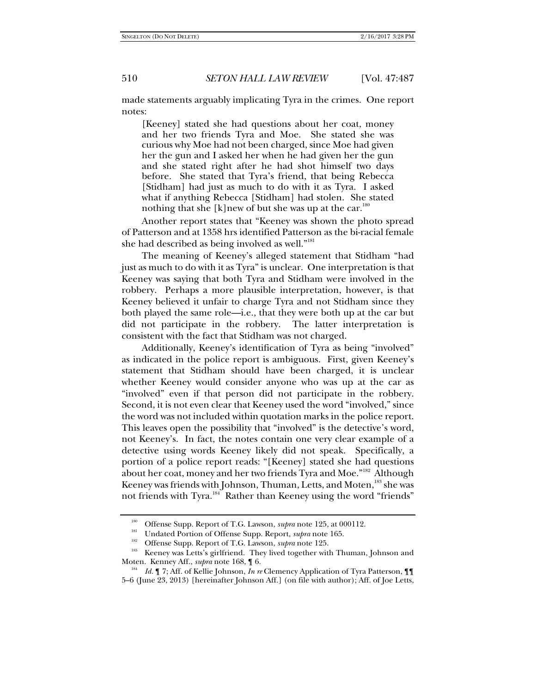made statements arguably implicating Tyra in the crimes. One report notes:

[Keeney] stated she had questions about her coat, money and her two friends Tyra and Moe. She stated she was curious why Moe had not been charged, since Moe had given her the gun and I asked her when he had given her the gun and she stated right after he had shot himself two days before. She stated that Tyra's friend, that being Rebecca [Stidham] had just as much to do with it as Tyra. I asked what if anything Rebecca [Stidham] had stolen. She stated nothing that she [k]new of but she was up at the car. $180$ 

Another report states that "Keeney was shown the photo spread of Patterson and at 1358 hrs identified Patterson as the bi-racial female she had described as being involved as well."<sup>181</sup>

The meaning of Keeney's alleged statement that Stidham "had just as much to do with it as Tyra" is unclear. One interpretation is that Keeney was saying that both Tyra and Stidham were involved in the robbery. Perhaps a more plausible interpretation, however, is that Keeney believed it unfair to charge Tyra and not Stidham since they both played the same role—i.e., that they were both up at the car but did not participate in the robbery. The latter interpretation is consistent with the fact that Stidham was not charged.

Additionally, Keeney's identification of Tyra as being "involved" as indicated in the police report is ambiguous. First, given Keeney's statement that Stidham should have been charged, it is unclear whether Keeney would consider anyone who was up at the car as "involved" even if that person did not participate in the robbery. Second, it is not even clear that Keeney used the word "involved," since the word was not included within quotation marks in the police report. This leaves open the possibility that "involved" is the detective's word, not Keeney's. In fact, the notes contain one very clear example of a detective using words Keeney likely did not speak. Specifically, a portion of a police report reads: "[Keeney] stated she had questions about her coat, money and her two friends Tyra and Moe."182 Although Keeney was friends with Johnson, Thuman, Letts, and Moten,<sup>183</sup> she was not friends with Tyra.<sup>184</sup> Rather than Keeney using the word "friends"

<sup>&</sup>lt;sup>180</sup> Offense Supp. Report of T.G. Lawson, *supra* note 125, at 000112.<br>
Undated Portion of Offense Supp. Report, *supra* note 165.<br>
<sup>182</sup> Offense Supp. Report of T.G. Lawson, *supra* note 125.<br>
Keeney was Letts's girlfri Moten. Kenney Aff., *supra* note 168, 16.

*Id.* ¶ 7; Aff. of Kellie Johnson, *In re* Clemency Application of Tyra Patterson, ¶¶ 5–6 (June 23, 2013) [hereinafter Johnson Aff.] (on file with author); Aff. of Joe Letts,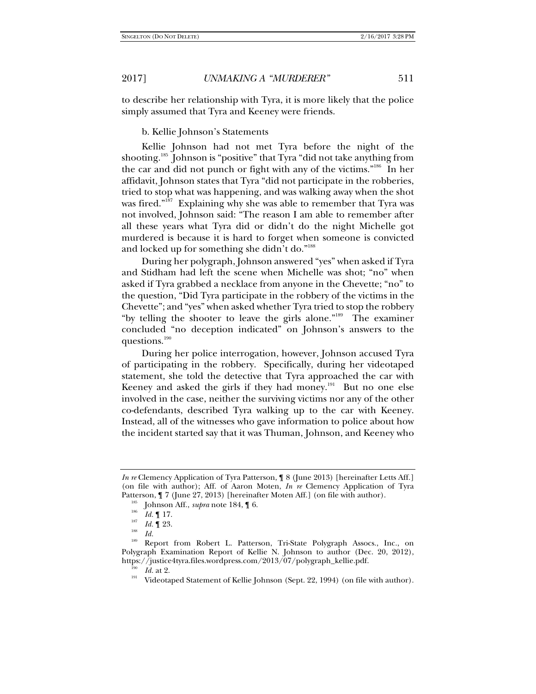to describe her relationship with Tyra, it is more likely that the police simply assumed that Tyra and Keeney were friends.

b. Kellie Johnson's Statements

Kellie Johnson had not met Tyra before the night of the shooting.<sup>185</sup> Johnson is "positive" that Tyra "did not take anything from the car and did not punch or fight with any of the victims."186 In her affidavit, Johnson states that Tyra "did not participate in the robberies, tried to stop what was happening, and was walking away when the shot was fired."<sup>187</sup> Explaining why she was able to remember that Tyra was not involved, Johnson said: "The reason I am able to remember after all these years what Tyra did or didn't do the night Michelle got murdered is because it is hard to forget when someone is convicted and locked up for something she didn't do."<sup>188</sup>

During her polygraph, Johnson answered "yes" when asked if Tyra and Stidham had left the scene when Michelle was shot; "no" when asked if Tyra grabbed a necklace from anyone in the Chevette; "no" to the question, "Did Tyra participate in the robbery of the victims in the Chevette"; and "yes" when asked whether Tyra tried to stop the robbery "by telling the shooter to leave the girls alone."189 The examiner concluded "no deception indicated" on Johnson's answers to the questions.<sup>190</sup>

During her police interrogation, however, Johnson accused Tyra of participating in the robbery. Specifically, during her videotaped statement, she told the detective that Tyra approached the car with Keeney and asked the girls if they had money.<sup>191</sup> But no one else involved in the case, neither the surviving victims nor any of the other co-defendants, described Tyra walking up to the car with Keeney. Instead, all of the witnesses who gave information to police about how the incident started say that it was Thuman, Johnson, and Keeney who

*In re* Clemency Application of Tyra Patterson, ¶ 8 (June 2013) [hereinafter Letts Aff.] (on file with author); Aff. of Aaron Moten, *In re* Clemency Application of Tyra Patterson,  $\P$  7 (June 27, 2013) [hereinafter Moten Aff.] (on file with author).<br><sup>185</sup> Johnson Aff., *supra* note 184,  $\P$  6.<br><sup>186</sup> *L*J  $\P$  17

 $\frac{186}{187}$  *Id.* 17.

 $\frac{187}{188}$  *Id.* 1 23.

 $\frac{188}{189}$  *Id.* 

Report from Robert L. Patterson, Tri-State Polygraph Assocs., Inc., on Polygraph Examination Report of Kellie N. Johnson to author (Dec. 20, 2012),

https://justice4tyra.files.wordpress.com/2013/07/polygraph\_kellie.pdf.<br><sup>190</sup> *Id.* at 2. Videotaped Statement of Kellie Johnson (Sept. 22, 1994) (on file with author).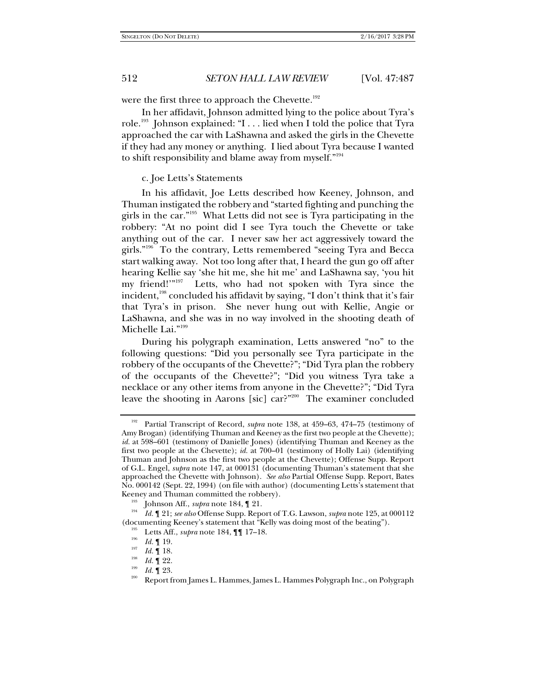were the first three to approach the Chevette. $192$ 

In her affidavit, Johnson admitted lying to the police about Tyra's role.<sup>193</sup> Johnson explained: "I . . . lied when I told the police that Tyra approached the car with LaShawna and asked the girls in the Chevette if they had any money or anything. I lied about Tyra because I wanted to shift responsibility and blame away from myself."<sup>194</sup>

# c. Joe Letts's Statements

In his affidavit, Joe Letts described how Keeney, Johnson, and Thuman instigated the robbery and "started fighting and punching the girls in the car."195 What Letts did not see is Tyra participating in the robbery: "At no point did I see Tyra touch the Chevette or take anything out of the car. I never saw her act aggressively toward the girls."196 To the contrary, Letts remembered "seeing Tyra and Becca start walking away. Not too long after that, I heard the gun go off after hearing Kellie say 'she hit me, she hit me' and LaShawna say, 'you hit my friend!'"<sup>197</sup> Letts, who had not spoken with Tyra since the Letts, who had not spoken with Tyra since the incident,<sup>198</sup> concluded his affidavit by saying, "I don't think that it's fair that Tyra's in prison. She never hung out with Kellie, Angie or LaShawna, and she was in no way involved in the shooting death of Michelle Lai."199

During his polygraph examination, Letts answered "no" to the following questions: "Did you personally see Tyra participate in the robbery of the occupants of the Chevette?"; "Did Tyra plan the robbery of the occupants of the Chevette?"; "Did you witness Tyra take a necklace or any other items from anyone in the Chevette?"; "Did Tyra leave the shooting in Aarons [sic] car?"<sup>200</sup> The examiner concluded

<sup>&</sup>lt;sup>192</sup> Partial Transcript of Record, *supra* note 138, at 459–63, 474–75 (testimony of Amy Brogan) (identifying Thuman and Keeney as the first two people at the Chevette); *id.* at 598–601 (testimony of Danielle Jones) (identifying Thuman and Keeney as the first two people at the Chevette); *id.* at 700–01 (testimony of Holly Lai) (identifying Thuman and Johnson as the first two people at the Chevette); Offense Supp. Report of G.L. Engel, *supra* note 147, at 000131 (documenting Thuman's statement that she approached the Chevette with Johnson). *See also* Partial Offense Supp. Report, Bates No. 000142 (Sept. 22, 1994) (on file with author) (documenting Letts's statement that Keeney and Thuman committed the robbery).<br><sup>193</sup> Johnson Aff., *supra* note 184, ¶ 21.<br><sup>194</sup> Le<sup>II</sup> 21: *see alse* Offense Supp. Peppert of

*Id.* ¶ 21; *see also* Offense Supp. Report of T.G. Lawson, *supra* note 125, at 000112 (documenting Keeney's statement that "Kelly was doing most of the beating").<br><sup>195</sup> Letts Aff., *supra* note 184,  $\P\P$  17–18.

 $\frac{196}{197}$  *Id.* 19.

<sup>&</sup>lt;sup>197</sup> *Id.*  $\P$  18.<br><sup>198</sup> *Id.*  $\P$  22.

<sup>&</sup>lt;sup>199</sup> *Id.* **[** 23. **199** *Id.* **[** 23. 200 Report from James L. Hammes L. Hammes Polygraph Inc., on Polygraph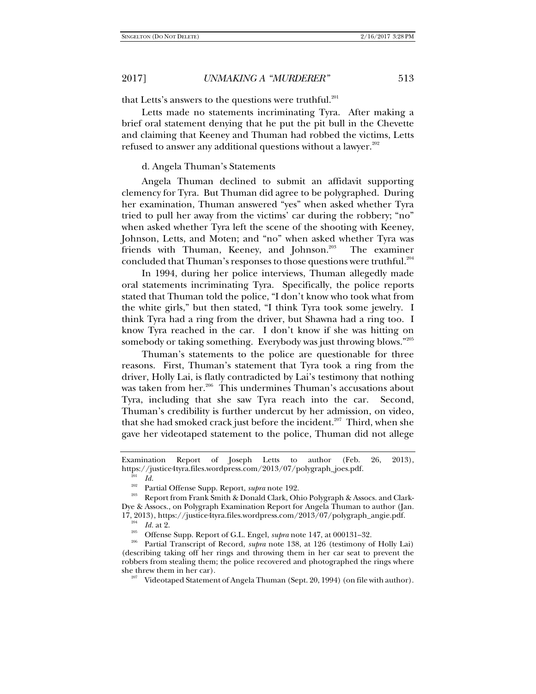that Letts's answers to the questions were truthful.<sup>201</sup>

Letts made no statements incriminating Tyra. After making a brief oral statement denying that he put the pit bull in the Chevette and claiming that Keeney and Thuman had robbed the victims, Letts refused to answer any additional questions without a lawyer.<sup>202</sup>

#### d. Angela Thuman's Statements

Angela Thuman declined to submit an affidavit supporting clemency for Tyra. But Thuman did agree to be polygraphed. During her examination, Thuman answered "yes" when asked whether Tyra tried to pull her away from the victims' car during the robbery; "no" when asked whether Tyra left the scene of the shooting with Keeney, Johnson, Letts, and Moten; and "no" when asked whether Tyra was friends with Thuman, Keeney, and Johnson.<sup>203</sup> The examiner concluded that Thuman's responses to those questions were truthful.<sup>204</sup>

In 1994, during her police interviews, Thuman allegedly made oral statements incriminating Tyra. Specifically, the police reports stated that Thuman told the police, "I don't know who took what from the white girls," but then stated, "I think Tyra took some jewelry. I think Tyra had a ring from the driver, but Shawna had a ring too. I know Tyra reached in the car. I don't know if she was hitting on somebody or taking something. Everybody was just throwing blows."205

Thuman's statements to the police are questionable for three reasons. First, Thuman's statement that Tyra took a ring from the driver, Holly Lai, is flatly contradicted by Lai's testimony that nothing was taken from her.<sup>206</sup> This undermines Thuman's accusations about Tyra, including that she saw Tyra reach into the car. Second, Thuman's credibility is further undercut by her admission, on video, that she had smoked crack just before the incident.<sup>207</sup> Third, when she gave her videotaped statement to the police, Thuman did not allege

 $\frac{1}{202}$  *Id.*<br> $\frac{1}{202}$  **P**<sub>31</sub>

Examination Report of Joseph Letts to author (Feb. 26, 2013), https://justice4tyra.files.wordpress.com/2013/07/polygraph\_joes.pdf.

<sup>&</sup>lt;sup>202</sup> Partial Offense Supp. Report, *supra* note 192.<br><sup>203</sup> Report from Frank Smith & Donald Clark, Ohio Polygraph & Assocs. and Clark-Dye & Assocs., on Polygraph Examination Report for Angela Thuman to author (Jan. 17, 2013), https://justice4tyra.files.wordpress.com/2013/07/polygraph\_angie.pdf. Id. at 2.

<sup>&</sup>lt;sup>205</sup> Offense Supp. Report of G.L. Engel, *supra* note 147, at 000131–32.<br><sup>206</sup> Partial Transcript of Record, *supra* note 138, at 126 (testimony of Holly Lai) (describing taking off her rings and throwing them in her car seat to prevent the robbers from stealing them; the police recovered and photographed the rings where she threw them in her car).<br><sup>207</sup> Videotaped Statement of Angela Thuman (Sept. 20, 1994) (on file with author).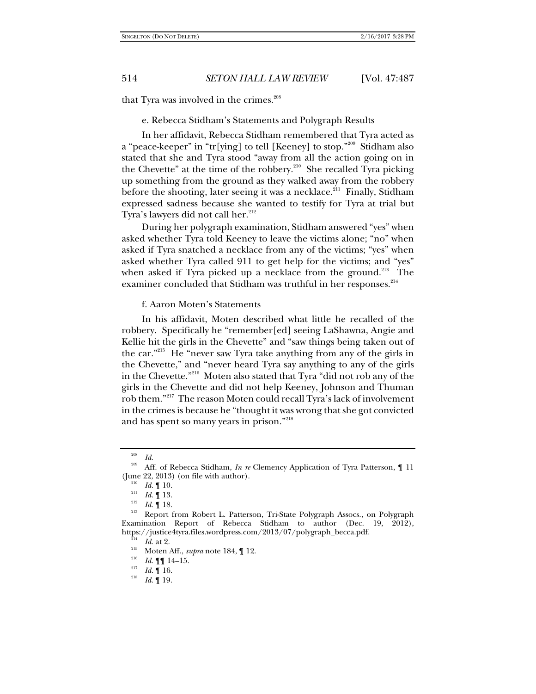that Tyra was involved in the crimes.<sup>208</sup>

e. Rebecca Stidham's Statements and Polygraph Results

In her affidavit, Rebecca Stidham remembered that Tyra acted as a "peace-keeper" in "tr[ying] to tell [Keeney] to stop."209 Stidham also stated that she and Tyra stood "away from all the action going on in the Chevette" at the time of the robbery.<sup>210</sup> She recalled Tyra picking up something from the ground as they walked away from the robbery before the shooting, later seeing it was a necklace.<sup>211</sup> Finally, Stidham expressed sadness because she wanted to testify for Tyra at trial but Tyra's lawyers did not call her.<sup>212</sup>

During her polygraph examination, Stidham answered "yes" when asked whether Tyra told Keeney to leave the victims alone; "no" when asked if Tyra snatched a necklace from any of the victims; "yes" when asked whether Tyra called 911 to get help for the victims; and "yes" when asked if Tyra picked up a necklace from the ground.<sup>213</sup> The examiner concluded that Stidham was truthful in her responses.<sup>214</sup>

### f. Aaron Moten's Statements

In his affidavit, Moten described what little he recalled of the robbery. Specifically he "remember[ed] seeing LaShawna, Angie and Kellie hit the girls in the Chevette" and "saw things being taken out of the car."215 He "never saw Tyra take anything from any of the girls in the Chevette," and "never heard Tyra say anything to any of the girls in the Chevette."216 Moten also stated that Tyra "did not rob any of the girls in the Chevette and did not help Keeney, Johnson and Thuman rob them."217 The reason Moten could recall Tyra's lack of involvement in the crimes is because he "thought it was wrong that she got convicted and has spent so many years in prison."218

 $\frac{208}{209}$  *Id.* 

Aff. of Rebecca Stidham, *In re* Clemency Application of Tyra Patterson, 11 (June 22, 2013) (on file with author).<br>
<sup>210</sup> *Id.* ¶ 10.<br>
<sup>211</sup> *Id.* ¶ 13.<br> *Id.* ¶ 18.

<sup>&</sup>lt;sup>213</sup> Report from Robert L. Patterson, Tri-State Polygraph Assocs., on Polygraph Examination Report of Rebecca Stidham to author (Dec. 19, 2012), https://justice4tyra.files.wordpress.com/2013/07/polygraph\_becca.pdf.  $\frac{214}{214}$   $Id.$  at 2.

<sup>&</sup>lt;sup>215</sup> Moten Aff., *supra* note 184, 12.

<sup>&</sup>lt;sup>216</sup> *Id.*  $\P\P$  14–15.<br><sup>217</sup> *Id.*  $\P$  16.<br><sup>218</sup> *Id*  $\P$  10

*Id*. ¶ 19.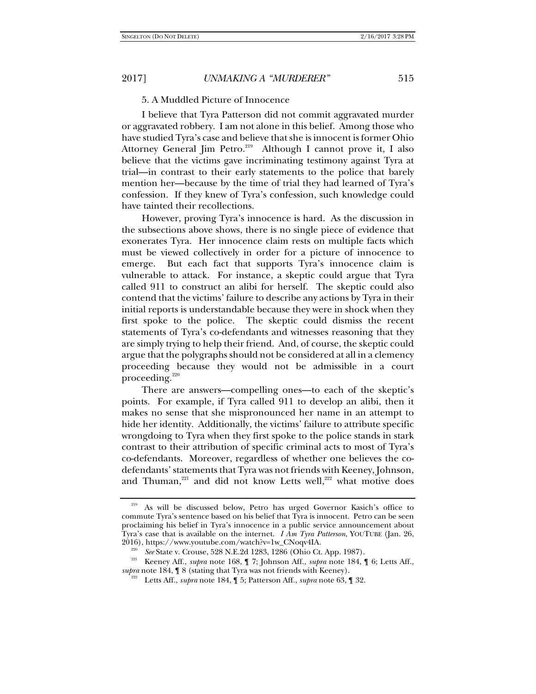# 5. A Muddled Picture of Innocence

I believe that Tyra Patterson did not commit aggravated murder or aggravated robbery. I am not alone in this belief. Among those who have studied Tyra's case and believe that she is innocent is former Ohio Attorney General Jim Petro.<sup>219</sup> Although I cannot prove it, I also believe that the victims gave incriminating testimony against Tyra at trial—in contrast to their early statements to the police that barely mention her—because by the time of trial they had learned of Tyra's confession. If they knew of Tyra's confession, such knowledge could have tainted their recollections.

However, proving Tyra's innocence is hard. As the discussion in the subsections above shows, there is no single piece of evidence that exonerates Tyra. Her innocence claim rests on multiple facts which must be viewed collectively in order for a picture of innocence to emerge. But each fact that supports Tyra's innocence claim is vulnerable to attack. For instance, a skeptic could argue that Tyra called 911 to construct an alibi for herself. The skeptic could also contend that the victims' failure to describe any actions by Tyra in their initial reports is understandable because they were in shock when they first spoke to the police. The skeptic could dismiss the recent statements of Tyra's co-defendants and witnesses reasoning that they are simply trying to help their friend. And, of course, the skeptic could argue that the polygraphs should not be considered at all in a clemency proceeding because they would not be admissible in a court proceeding. $220$ 

There are answers—compelling ones—to each of the skeptic's points. For example, if Tyra called 911 to develop an alibi, then it makes no sense that she mispronounced her name in an attempt to hide her identity. Additionally, the victims' failure to attribute specific wrongdoing to Tyra when they first spoke to the police stands in stark contrast to their attribution of specific criminal acts to most of Tyra's co-defendants. Moreover, regardless of whether one believes the codefendants' statements that Tyra was not friends with Keeney, Johnson, and Thuman, $221$  and did not know Letts well, $222$  what motive does

<sup>&</sup>lt;sup>219</sup> As will be discussed below, Petro has urged Governor Kasich's office to commute Tyra's sentence based on his belief that Tyra is innocent. Petro can be seen proclaiming his belief in Tyra's innocence in a public service announcement about Tyra's case that is available on the internet. *I Am Tyra Patterson*, YOUTUBE (Jan. 26, 2016), https://www.youtube.com/watch?v=1w\_CNoqv4IA.<br><sup>220</sup> See State v. Crouse, 528 N.E.2d 1283, 1286 (Ohio Ct. App. 1987).

<sup>&</sup>lt;sup>221</sup> Keeney Aff., *supra* note 168, ¶ 7; Johnson Aff., *supra* note 184, ¶ 6; Letts Aff., *supra* note 184, ¶ 8 (stating that Tyra was not friends with Keeney). 222 Letts Aff., *supra* note 184, ¶ 5; Patterson Aff., *supra* note 63, ¶ 32.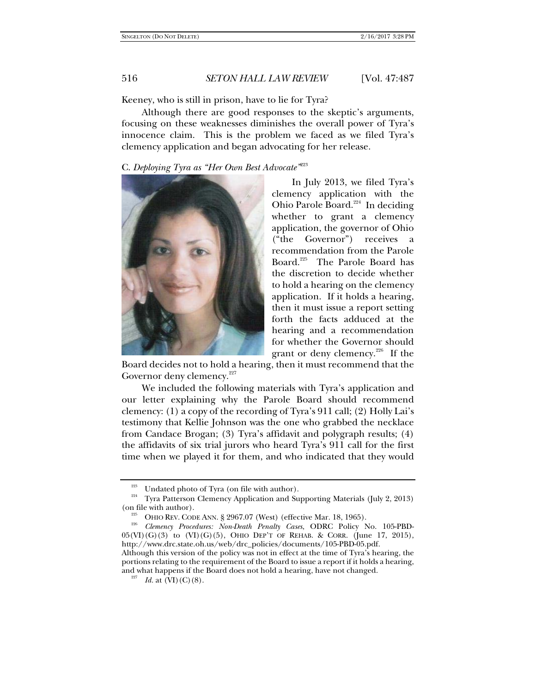Keeney, who is still in prison, have to lie for Tyra?

Although there are good responses to the skeptic's arguments, focusing on these weaknesses diminishes the overall power of Tyra's innocence claim. This is the problem we faced as we filed Tyra's clemency application and began advocating for her release.

C. *Deploying Tyra as "Her Own Best Advocate"*<sup>223</sup>



In July 2013, we filed Tyra's clemency application with the Ohio Parole Board.<sup>224</sup> In deciding whether to grant a clemency application, the governor of Ohio ("the Governor") receives a recommendation from the Parole Board.225 The Parole Board has the discretion to decide whether to hold a hearing on the clemency application. If it holds a hearing, then it must issue a report setting forth the facts adduced at the hearing and a recommendation for whether the Governor should grant or deny clemency.<sup>226</sup> If the

Board decides not to hold a hearing, then it must recommend that the Governor deny clemency.<sup>227</sup>

We included the following materials with Tyra's application and our letter explaining why the Parole Board should recommend clemency: (1) a copy of the recording of Tyra's 911 call; (2) Holly Lai's testimony that Kellie Johnson was the one who grabbed the necklace from Candace Brogan; (3) Tyra's affidavit and polygraph results; (4) the affidavits of six trial jurors who heard Tyra's 911 call for the first time when we played it for them, and who indicated that they would

<sup>&</sup>lt;sup>223</sup> Undated photo of Tyra (on file with author).<br><sup>224</sup> Tyra Patterson Clemency Application and Supporting Materials (July 2, 2013)<br>(on file with author).

OHIO REV. CODE ANN. § 2967.07 (West) (effective Mar. 18, 1965).

*Clemency Procedures: Non-Death Penalty Cases*, ODRC Policy No. 105-PBD- $05(\text{VI})(G)(3)$  to  $(\text{VI})(G)(5)$ , OHIO DEP'T OF REHAB. & CORR. (June 17, 2015), http://www.drc.state.oh.us/web/drc\_policies/documents/105-PBD-05.pdf.

Although this version of the policy was not in effect at the time of Tyra's hearing, the portions relating to the requirement of the Board to issue a report if it holds a hearing, and what happens if the Board does not hold a hearing, have not changed.

 $I^{227}$  *Id.* at  $(VI)(C)(8)$ .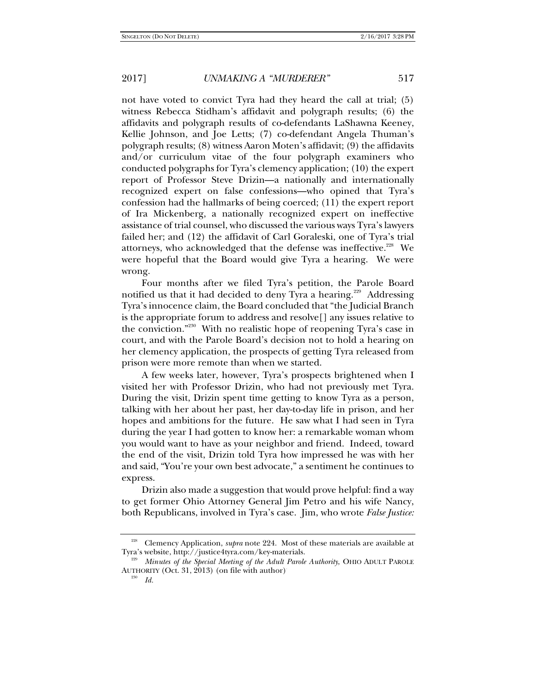not have voted to convict Tyra had they heard the call at trial; (5) witness Rebecca Stidham's affidavit and polygraph results; (6) the affidavits and polygraph results of co-defendants LaShawna Keeney, Kellie Johnson, and Joe Letts; (7) co-defendant Angela Thuman's polygraph results; (8) witness Aaron Moten's affidavit; (9) the affidavits and/or curriculum vitae of the four polygraph examiners who conducted polygraphs for Tyra's clemency application; (10) the expert report of Professor Steve Drizin—a nationally and internationally recognized expert on false confessions—who opined that Tyra's confession had the hallmarks of being coerced; (11) the expert report of Ira Mickenberg, a nationally recognized expert on ineffective assistance of trial counsel, who discussed the various ways Tyra's lawyers failed her; and (12) the affidavit of Carl Goraleski, one of Tyra's trial attorneys, who acknowledged that the defense was ineffective.<sup>228</sup> We were hopeful that the Board would give Tyra a hearing. We were wrong.

Four months after we filed Tyra's petition, the Parole Board notified us that it had decided to deny Tyra a hearing.<sup>229</sup> Addressing Tyra's innocence claim, the Board concluded that "the Judicial Branch is the appropriate forum to address and resolve[] any issues relative to the conviction."230 With no realistic hope of reopening Tyra's case in court, and with the Parole Board's decision not to hold a hearing on her clemency application, the prospects of getting Tyra released from prison were more remote than when we started.

A few weeks later, however, Tyra's prospects brightened when I visited her with Professor Drizin, who had not previously met Tyra. During the visit, Drizin spent time getting to know Tyra as a person, talking with her about her past, her day-to-day life in prison, and her hopes and ambitions for the future. He saw what I had seen in Tyra during the year I had gotten to know her: a remarkable woman whom you would want to have as your neighbor and friend. Indeed, toward the end of the visit, Drizin told Tyra how impressed he was with her and said, "You're your own best advocate," a sentiment he continues to express.

Drizin also made a suggestion that would prove helpful: find a way to get former Ohio Attorney General Jim Petro and his wife Nancy, both Republicans, involved in Tyra's case. Jim, who wrote *False Justice:* 

230 *Id.*

<sup>228</sup> Clemency Application, *supra* note 224. Most of these materials are available at Tyra's website, http://justice4tyra.com/key-materials. 229

*Minutes of the Special Meeting of the Adult Parole Authority*, OHIO ADULT PAROLE AUTHORITY (Oct. 31, 2013) (on file with author).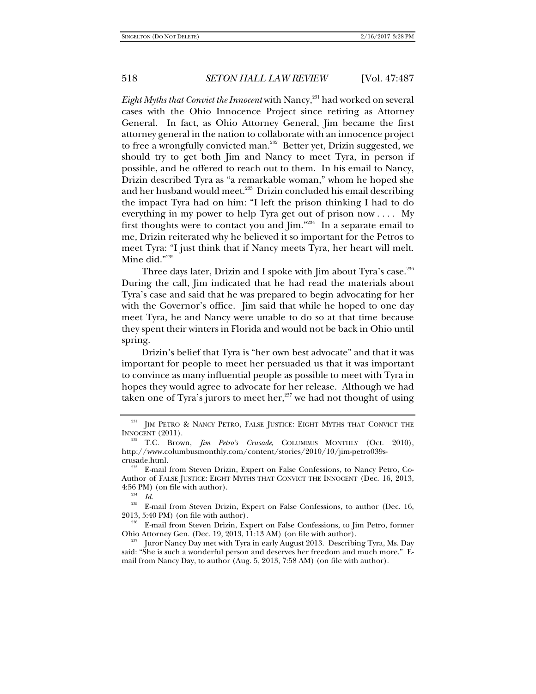*Eight Myths that Convict the Innocent* with Nancy,<sup>231</sup> had worked on several cases with the Ohio Innocence Project since retiring as Attorney General. In fact, as Ohio Attorney General, Jim became the first attorney general in the nation to collaborate with an innocence project to free a wrongfully convicted man.<sup>232</sup> Better yet, Drizin suggested, we should try to get both Jim and Nancy to meet Tyra, in person if possible, and he offered to reach out to them. In his email to Nancy, Drizin described Tyra as "a remarkable woman," whom he hoped she and her husband would meet.<sup>233</sup> Drizin concluded his email describing the impact Tyra had on him: "I left the prison thinking I had to do everything in my power to help Tyra get out of prison now . . . . My first thoughts were to contact you and  $\lim_{n \to \infty}$  In a separate email to me, Drizin reiterated why he believed it so important for the Petros to meet Tyra: "I just think that if Nancy meets Tyra, her heart will melt. Mine did."235

Three days later, Drizin and I spoke with Jim about Tyra's case.<sup>236</sup> During the call, Jim indicated that he had read the materials about Tyra's case and said that he was prepared to begin advocating for her with the Governor's office. Jim said that while he hoped to one day meet Tyra, he and Nancy were unable to do so at that time because they spent their winters in Florida and would not be back in Ohio until spring.

Drizin's belief that Tyra is "her own best advocate" and that it was important for people to meet her persuaded us that it was important to convince as many influential people as possible to meet with Tyra in hopes they would agree to advocate for her release. Although we had taken one of Tyra's jurors to meet her, $237$  we had not thought of using

 $^{231}$  JIM PETRO & NANCY PETRO, FALSE JUSTICE: EIGHT MYTHS THAT CONVICT THE INNOCENT (2011).

<sup>&</sup>lt;sup>232</sup> T.C. Brown, *Jim Petro's Crusade*, COLUMBUS MONTHLY (Oct. 2010), http://www.columbusmonthly.com/content/stories/2010/10/jim-petro039s-

crusade.html. 233 E-mail from Steven Drizin, Expert on False Confessions, to Nancy Petro, Co-Author of FALSE JUSTICE: EIGHT MYTHS THAT CONVICT THE INNOCENT (Dec. 16, 2013, 4:56 PM) (on file with author).

*Id.*

<sup>&</sup>lt;sup>235</sup> E-mail from Steven Drizin, Expert on False Confessions, to author (Dec. 16, 2013, 5:40 PM) (on file with author).

<sup>&</sup>lt;sup>236</sup> E-mail from Steven Drizin, Expert on False Confessions, to Jim Petro, former Ohio Attorney Gen. (Dec. 19, 2013, 11:13 AM) (on file with author).

<sup>&</sup>lt;sup>237</sup> Juror Nancy Day met with Tyra in early August 2013. Describing Tyra, Ms. Day said: "She is such a wonderful person and deserves her freedom and much more." Email from Nancy Day, to author (Aug. 5, 2013, 7:58 AM) (on file with author).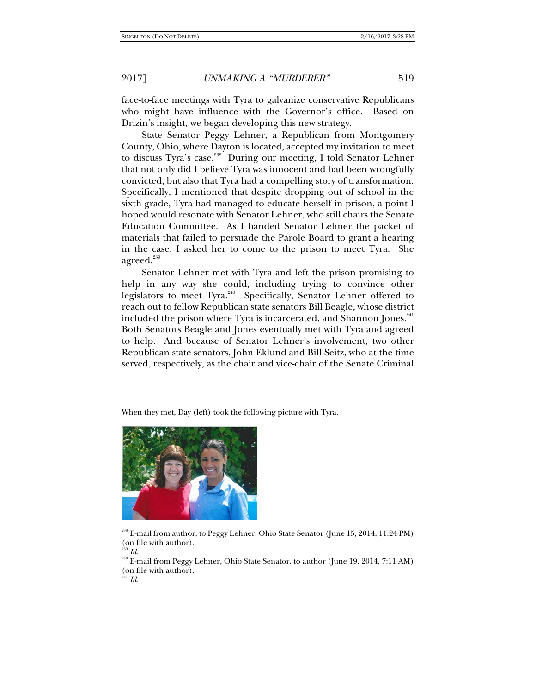face-to-face meetings with Tyra to galvanize conservative Republicans who might have influence with the Governor's office. Based on Drizin's insight, we began developing this new strategy.

State Senator Peggy Lehner, a Republican from Montgomery County, Ohio, where Dayton is located, accepted my invitation to meet to discuss Tyra's case.<sup>238</sup> During our meeting, I told Senator Lehner that not only did I believe Tyra was innocent and had been wrongfully convicted, but also that Tyra had a compelling story of transformation. Specifically, I mentioned that despite dropping out of school in the sixth grade, Tyra had managed to educate herself in prison, a point I hoped would resonate with Senator Lehner, who still chairs the Senate Education Committee. As I handed Senator Lehner the packet of materials that failed to persuade the Parole Board to grant a hearing in the case, I asked her to come to the prison to meet Tyra. She agreed. $239$ 

Senator Lehner met with Tyra and left the prison promising to help in any way she could, including trying to convince other legislators to meet Tyra.<sup>240</sup> Specifically, Senator Lehner offered to reach out to fellow Republican state senators Bill Beagle, whose district included the prison where Tyra is incarcerated, and Shannon Jones.<sup>241</sup> Both Senators Beagle and Jones eventually met with Tyra and agreed to help. And because of Senator Lehner's involvement, two other Republican state senators, John Eklund and Bill Seitz, who at the time served, respectively, as the chair and vice-chair of the Senate Criminal

When they met, Day (left) took the following picture with Tyra.



<sup>238</sup> E-mail from author, to Peggy Lehner, Ohio State Senator (June 15, 2014, 11:24 PM) (on file with author).

<sup>240</sup> E-mail from Peggy Lehner, Ohio State Senator, to author (June 19, 2014, 7:11 AM) (on file with author).

<sup>239</sup> *Id.*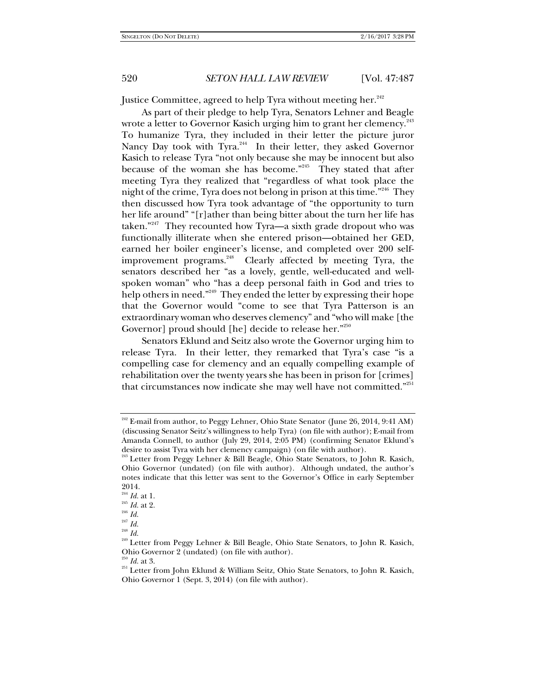Justice Committee, agreed to help Tyra without meeting her.<sup>242</sup>

As part of their pledge to help Tyra, Senators Lehner and Beagle wrote a letter to Governor Kasich urging him to grant her clemency.<sup>243</sup> To humanize Tyra, they included in their letter the picture juror Nancy Day took with Tyra.<sup>244</sup> In their letter, they asked Governor Kasich to release Tyra "not only because she may be innocent but also because of the woman she has become."<sup>245</sup> They stated that after meeting Tyra they realized that "regardless of what took place the night of the crime, Tyra does not belong in prison at this time."246 They then discussed how Tyra took advantage of "the opportunity to turn her life around" "[r]ather than being bitter about the turn her life has taken."<sup>247</sup> They recounted how Tyra—a sixth grade dropout who was functionally illiterate when she entered prison—obtained her GED, earned her boiler engineer's license, and completed over 200 selfimprovement programs.<sup>248</sup> Clearly affected by meeting Tyra, the senators described her "as a lovely, gentle, well-educated and wellspoken woman" who "has a deep personal faith in God and tries to help others in need."<sup>249</sup> They ended the letter by expressing their hope that the Governor would "come to see that Tyra Patterson is an extraordinary woman who deserves clemency" and "who will make [the Governor] proud should [he] decide to release her."<sup>250</sup>

Senators Eklund and Seitz also wrote the Governor urging him to release Tyra. In their letter, they remarked that Tyra's case "is a compelling case for clemency and an equally compelling example of rehabilitation over the twenty years she has been in prison for [crimes] that circumstances now indicate she may well have not committed."251

<sup>&</sup>lt;sup>242</sup> E-mail from author, to Peggy Lehner, Ohio State Senator (June 26, 2014, 9:41 AM) (discussing Senator Seitz's willingness to help Tyra) (on file with author); E-mail from Amanda Connell, to author (July 29, 2014, 2:05 PM) (confirming Senator Eklund's desire to assist Tyra with her clemency campaign) (on file with author).

<sup>243</sup> Letter from Peggy Lehner & Bill Beagle, Ohio State Senators, to John R. Kasich, Ohio Governor (undated) (on file with author). Although undated, the author's notes indicate that this letter was sent to the Governor's Office in early September  $_{{\color{red}244}}^{\text{2014}}$   $_{\text{Id.}}^{\text{244}}$  at 1.

<sup>&</sup>lt;sup>245</sup> *Id.* at 2.<br><sup>246</sup> *Id.* 

<sup>247</sup> *Id.*

<sup>248</sup> *Id.*

<sup>249</sup> Letter from Peggy Lehner & Bill Beagle, Ohio State Senators, to John R. Kasich, Ohio Governor 2 (undated) (on file with author).  $\frac{250}{100}$  Id. at 3.

<sup>&</sup>lt;sup>251</sup> Letter from John Eklund & William Seitz, Ohio State Senators, to John R. Kasich, Ohio Governor 1 (Sept. 3, 2014) (on file with author).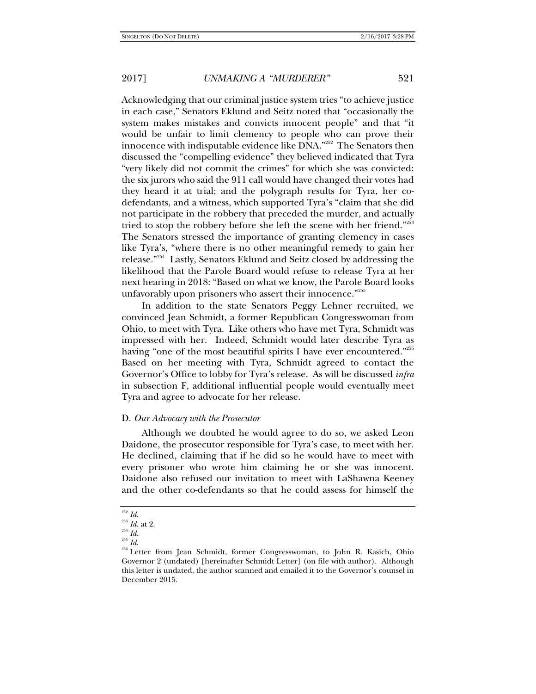Acknowledging that our criminal justice system tries "to achieve justice in each case," Senators Eklund and Seitz noted that "occasionally the system makes mistakes and convicts innocent people" and that "it would be unfair to limit clemency to people who can prove their innocence with indisputable evidence like DNA."<sup>252</sup> The Senators then discussed the "compelling evidence" they believed indicated that Tyra "very likely did not commit the crimes" for which she was convicted: the six jurors who said the 911 call would have changed their votes had they heard it at trial; and the polygraph results for Tyra, her codefendants, and a witness, which supported Tyra's "claim that she did not participate in the robbery that preceded the murder, and actually tried to stop the robbery before she left the scene with her friend."253 The Senators stressed the importance of granting clemency in cases like Tyra's, "where there is no other meaningful remedy to gain her release."254 Lastly, Senators Eklund and Seitz closed by addressing the likelihood that the Parole Board would refuse to release Tyra at her next hearing in 2018: "Based on what we know, the Parole Board looks unfavorably upon prisoners who assert their innocence."255

In addition to the state Senators Peggy Lehner recruited, we convinced Jean Schmidt, a former Republican Congresswoman from Ohio, to meet with Tyra. Like others who have met Tyra, Schmidt was impressed with her. Indeed, Schmidt would later describe Tyra as having "one of the most beautiful spirits I have ever encountered."<sup>256</sup> Based on her meeting with Tyra, Schmidt agreed to contact the Governor's Office to lobby for Tyra's release. As will be discussed *infra*  in subsection F, additional influential people would eventually meet Tyra and agree to advocate for her release.

#### D. *Our Advocacy with the Prosecutor*

Although we doubted he would agree to do so, we asked Leon Daidone, the prosecutor responsible for Tyra's case, to meet with her. He declined, claiming that if he did so he would have to meet with every prisoner who wrote him claiming he or she was innocent. Daidone also refused our invitation to meet with LaShawna Keeney and the other co-defendants so that he could assess for himself the

<sup>252</sup> *Id.*

<sup>253</sup> *Id.* at 2. 254 *Id.* 

 $\real^{255}$   $Id.$ 

<sup>256</sup> Letter from Jean Schmidt, former Congresswoman, to John R. Kasich, Ohio Governor 2 (undated) [hereinafter Schmidt Letter] (on file with author). Although this letter is undated, the author scanned and emailed it to the Governor's counsel in December 2015.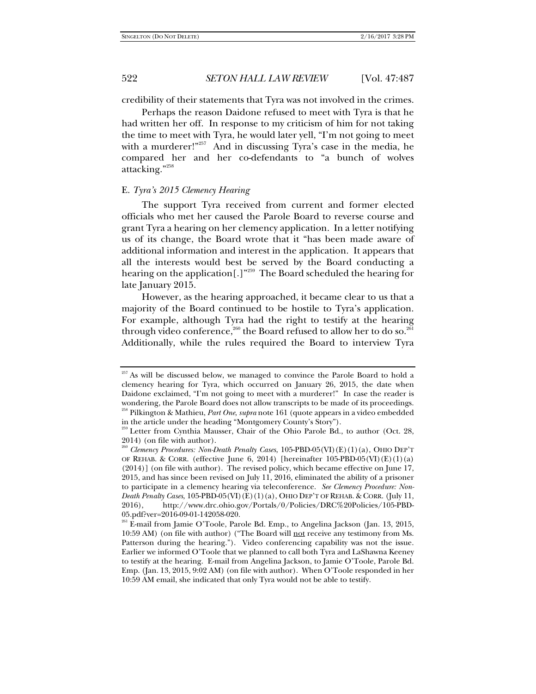credibility of their statements that Tyra was not involved in the crimes.

Perhaps the reason Daidone refused to meet with Tyra is that he had written her off. In response to my criticism of him for not taking the time to meet with Tyra, he would later yell, "I'm not going to meet with a murderer!"<sup>257</sup> And in discussing Tyra's case in the media, he compared her and her co-defendants to "a bunch of wolves attacking."258

#### E. *Tyra's 2015 Clemency Hearing*

The support Tyra received from current and former elected officials who met her caused the Parole Board to reverse course and grant Tyra a hearing on her clemency application. In a letter notifying us of its change, the Board wrote that it "has been made aware of additional information and interest in the application. It appears that all the interests would best be served by the Board conducting a hearing on the application[.]"259 The Board scheduled the hearing for late January 2015.

However, as the hearing approached, it became clear to us that a majority of the Board continued to be hostile to Tyra's application. For example, although Tyra had the right to testify at the hearing through video conference,<sup>260</sup> the Board refused to allow her to do so.<sup>261</sup> Additionally, while the rules required the Board to interview Tyra

<sup>&</sup>lt;sup>257</sup> As will be discussed below, we managed to convince the Parole Board to hold a clemency hearing for Tyra, which occurred on January 26, 2015, the date when Daidone exclaimed, "I'm not going to meet with a murderer!" In case the reader is wondering, the Parole Board does not allow transcripts to be made of its proceedings. 258 Pilkington & Mathieu, *Part One*, *supra* note 161 (quote appears in a video embedded in the article under the heading "Montgomery County's Story").

<sup>&</sup>lt;sup>259</sup> Letter from Cynthia Mausser, Chair of the Ohio Parole Bd., to author (Oct. 28, 2014) (on file with author).

<sup>260</sup> *Clemency Procedures: Non-Death Penalty Cases*, 105-PBD-05(VI)(E)(1)(a), OHIO DEP'T OF REHAB. & CORR. (effective June 6, 2014) [hereinafter 105-PBD-05(VI)(E)(1)(a) (2014)] (on file with author). The revised policy, which became effective on June 17, 2015, and has since been revised on July 11, 2016, eliminated the ability of a prisoner to participate in a clemency hearing via teleconference. *See Clemency Procedure: Non-Death Penalty Cases*, 105-PBD-05(VI)(E)(1)(a), OHIO DEP'T OF REHAB. & CORR. (July 11, 2016), http://www.drc.ohio.gov/Portals/0/Policies/DRC%20Policies/105-PBD-05.pdf?ver=2016-09-01-142058-020.

<sup>261</sup> E-mail from Jamie O'Toole, Parole Bd. Emp., to Angelina Jackson (Jan. 13, 2015, 10:59 AM) (on file with author) ("The Board will not receive any testimony from Ms. Patterson during the hearing."). Video conferencing capability was not the issue. Earlier we informed O'Toole that we planned to call both Tyra and LaShawna Keeney to testify at the hearing. E-mail from Angelina Jackson, to Jamie O'Toole, Parole Bd. Emp. (Jan. 13, 2015, 9:02 AM) (on file with author). When O'Toole responded in her 10:59 AM email, she indicated that only Tyra would not be able to testify.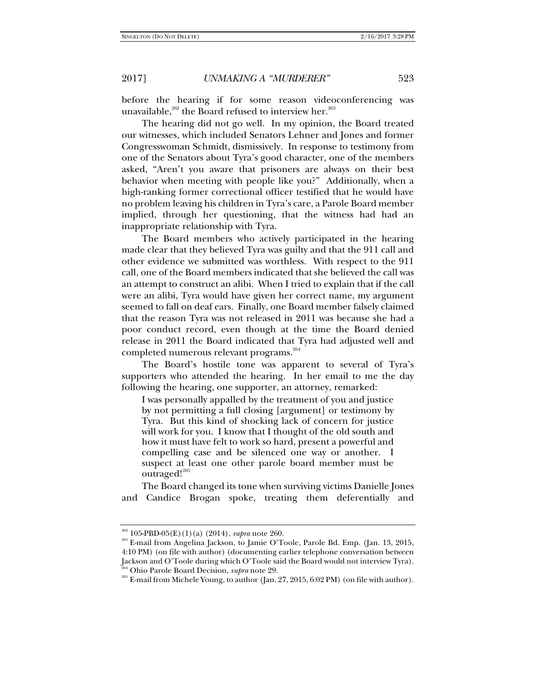before the hearing if for some reason videoconferencing was unavailable, $^{262}$  the Board refused to interview her. $^{263}$ 

The hearing did not go well. In my opinion, the Board treated our witnesses, which included Senators Lehner and Jones and former Congresswoman Schmidt, dismissively. In response to testimony from one of the Senators about Tyra's good character, one of the members asked, "Aren't you aware that prisoners are always on their best behavior when meeting with people like you?" Additionally, when a high-ranking former correctional officer testified that he would have no problem leaving his children in Tyra's care, a Parole Board member implied, through her questioning, that the witness had had an inappropriate relationship with Tyra.

The Board members who actively participated in the hearing made clear that they believed Tyra was guilty and that the 911 call and other evidence we submitted was worthless. With respect to the 911 call, one of the Board members indicated that she believed the call was an attempt to construct an alibi. When I tried to explain that if the call were an alibi, Tyra would have given her correct name, my argument seemed to fall on deaf ears. Finally, one Board member falsely claimed that the reason Tyra was not released in 2011 was because she had a poor conduct record, even though at the time the Board denied release in 2011 the Board indicated that Tyra had adjusted well and completed numerous relevant programs.<sup>264</sup>

The Board's hostile tone was apparent to several of Tyra's supporters who attended the hearing. In her email to me the day following the hearing, one supporter, an attorney, remarked:

I was personally appalled by the treatment of you and justice by not permitting a full closing [argument] or testimony by Tyra. But this kind of shocking lack of concern for justice will work for you. I know that I thought of the old south and how it must have felt to work so hard, present a powerful and compelling case and be silenced one way or another. I suspect at least one other parole board member must be outraged!<sup>265</sup>

The Board changed its tone when surviving victims Danielle Jones and Candice Brogan spoke, treating them deferentially and

<sup>&</sup>lt;sup>262</sup> 105-PBD-05(E)(1)(a) (2014), *supra* note 260.<br><sup>263</sup> E-mail from Angelina Jackson, to Jamie O'Toole, Parole Bd. Emp. (Jan. 13, 2015, 4:10 PM) (on file with author) (documenting earlier telephone conversation between Jackson and O'Toole during which O'Toole said the Board would not interview Tyra).

<sup>&</sup>lt;sup>264</sup> Ohio Parole Board Decision, *supra* note 29.<br><sup>265</sup> E-mail from Michele Young, to author (Jan. 27, 2015, 6:02 PM) (on file with author).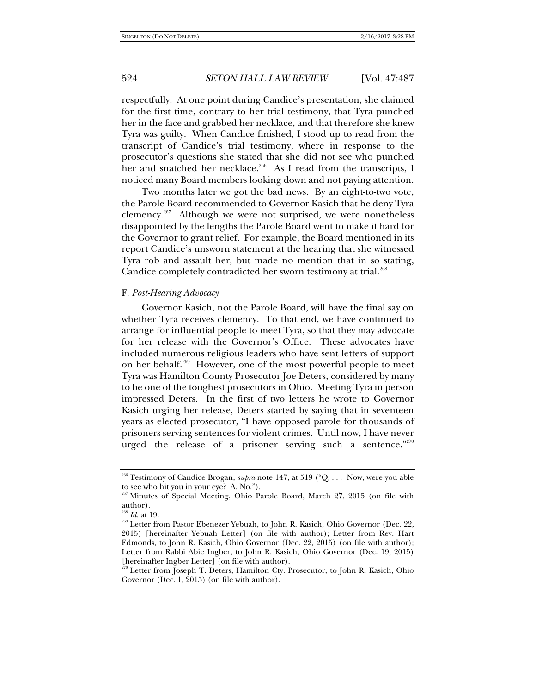respectfully. At one point during Candice's presentation, she claimed for the first time, contrary to her trial testimony, that Tyra punched her in the face and grabbed her necklace, and that therefore she knew Tyra was guilty. When Candice finished, I stood up to read from the transcript of Candice's trial testimony, where in response to the prosecutor's questions she stated that she did not see who punched her and snatched her necklace.<sup>266</sup> As I read from the transcripts, I noticed many Board members looking down and not paying attention.

Two months later we got the bad news. By an eight-to-two vote, the Parole Board recommended to Governor Kasich that he deny Tyra clemency.<sup>267</sup> Although we were not surprised, we were nonetheless disappointed by the lengths the Parole Board went to make it hard for the Governor to grant relief. For example, the Board mentioned in its report Candice's unsworn statement at the hearing that she witnessed Tyra rob and assault her, but made no mention that in so stating, Candice completely contradicted her sworn testimony at trial.<sup>268</sup>

#### F. *Post-Hearing Advocacy*

Governor Kasich, not the Parole Board, will have the final say on whether Tyra receives clemency. To that end, we have continued to arrange for influential people to meet Tyra, so that they may advocate for her release with the Governor's Office. These advocates have included numerous religious leaders who have sent letters of support on her behalf.269 However, one of the most powerful people to meet Tyra was Hamilton County Prosecutor Joe Deters, considered by many to be one of the toughest prosecutors in Ohio. Meeting Tyra in person impressed Deters. In the first of two letters he wrote to Governor Kasich urging her release, Deters started by saying that in seventeen years as elected prosecutor, "I have opposed parole for thousands of prisoners serving sentences for violent crimes. Until now, I have never urged the release of a prisoner serving such a sentence."<sup>270</sup>

<sup>&</sup>lt;sup>266</sup> Testimony of Candice Brogan, *supra* note 147, at 519 ("Q. . . . Now, were you able to see who hit you in your eye? A. No.").

<sup>267</sup> Minutes of Special Meeting, Ohio Parole Board, March 27, 2015 (on file with author).<br> $^{268}$  *Id.* at 19.

<sup>&</sup>lt;sup>269</sup> Letter from Pastor Ebenezer Yebuah, to John R. Kasich, Ohio Governor (Dec. 22, 2015) [hereinafter Yebuah Letter] (on file with author); Letter from Rev. Hart Edmonds, to John R. Kasich, Ohio Governor (Dec. 22, 2015) (on file with author); Letter from Rabbi Abie Ingber, to John R. Kasich, Ohio Governor (Dec. 19, 2015) [hereinafter Ingber Letter] (on file with author).

<sup>&</sup>lt;sup>70</sup> Letter from Joseph T. Deters, Hamilton Cty. Prosecutor, to John R. Kasich, Ohio Governor (Dec. 1, 2015) (on file with author).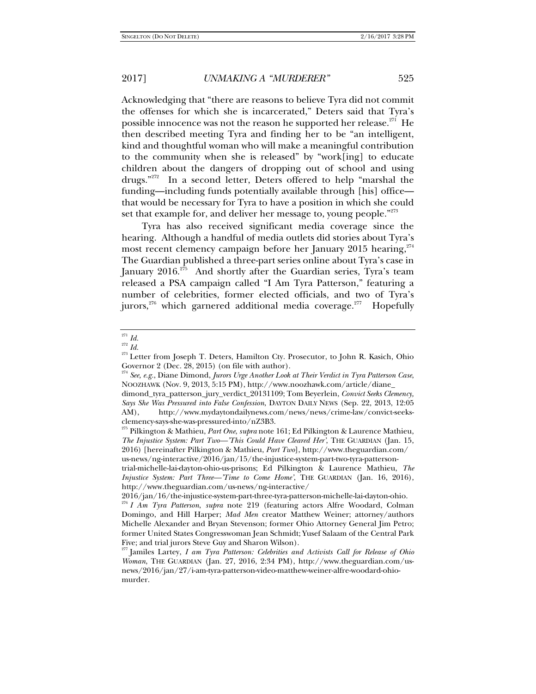Acknowledging that "there are reasons to believe Tyra did not commit the offenses for which she is incarcerated," Deters said that Tyra's possible innocence was not the reason he supported her release.<sup>271</sup> He then described meeting Tyra and finding her to be "an intelligent, kind and thoughtful woman who will make a meaningful contribution to the community when she is released" by "work[ing] to educate children about the dangers of dropping out of school and using drugs."272 In a second letter, Deters offered to help "marshal the funding—including funds potentially available through [his] office that would be necessary for Tyra to have a position in which she could set that example for, and deliver her message to, young people."<sup>273</sup>

Tyra has also received significant media coverage since the hearing. Although a handful of media outlets did stories about Tyra's most recent clemency campaign before her January 2015 hearing, $274$ The Guardian published a three-part series online about Tyra's case in January 2016.<sup>275</sup> And shortly after the Guardian series, Tyra's team released a PSA campaign called "I Am Tyra Patterson," featuring a number of celebrities, former elected officials, and two of Tyra's jurors,<sup>276</sup> which garnered additional media coverage.<sup>277</sup> Hopefully

 $271$  *Id.* 

<sup>272</sup> *Id.*

<sup>&</sup>lt;sup>273</sup> Letter from Joseph T. Deters, Hamilton Cty. Prosecutor, to John R. Kasich, Ohio Governor 2 (Dec. 28, 2015) (on file with author).

<sup>274</sup> *See, e.g.*, Diane Dimond, *Jurors Urge Another Look at Their Verdict in Tyra Patterson Case*, NOOZHAWK (Nov. 9, 2013, 5:15 PM), http://www.noozhawk.com/article/diane\_

dimond\_tyra\_patterson\_jury\_verdict\_20131109; Tom Beyerlein, *Convict Seeks Clemency, Says She Was Pressured into False Confession*, DAYTON DAILY NEWS (Sep. 22, 2013, 12:05 AM), http://www.mydaytondailynews.com/news/news/crime-law/convict-seeksclemency-says-she-was-pressured-into/nZ3B3.

<sup>275</sup> Pilkington & Mathieu, *Part One*, *supra* note 161; Ed Pilkington & Laurence Mathieu, *The Injustice System: Part Two—'This Could Have Cleared Her'*, THE GUARDIAN (Jan. 15, 2016) [hereinafter Pilkington & Mathieu, *Part Two*], http://www.theguardian.com/ us-news/ng-interactive/2016/jan/15/the-injustice-system-part-two-tyra-patterson-

trial-michelle-lai-dayton-ohio-us-prisons; Ed Pilkington & Laurence Mathieu, *The Injustice System: Part Three—'Time to Come Home'*, THE GUARDIAN (Jan. 16, 2016), http://www.theguardian.com/us-news/ng-interactive/

<sup>2016/</sup>jan/16/the-injustice-system-part-three-tyra-patterson-michelle-lai-dayton-ohio.

<sup>276</sup> *I Am Tyra Patterson*, *supra* note 219 (featuring actors Alfre Woodard, Colman Domingo, and Hill Harper; *Mad Men* creator Matthew Weiner; attorney/authors Michelle Alexander and Bryan Stevenson; former Ohio Attorney General Jim Petro; former United States Congresswoman Jean Schmidt; Yusef Salaam of the Central Park Five; and trial jurors Steve Guy and Sharon Wilson).

<sup>277</sup> Jamiles Lartey, *I am Tyra Patterson: Celebrities and Activists Call for Release of Ohio Woman*, THE GUARDIAN (Jan. 27, 2016, 2:34 PM), http://www.theguardian.com/usnews/2016/jan/27/i-am-tyra-patterson-video-matthew-weiner-alfre-woodard-ohiomurder.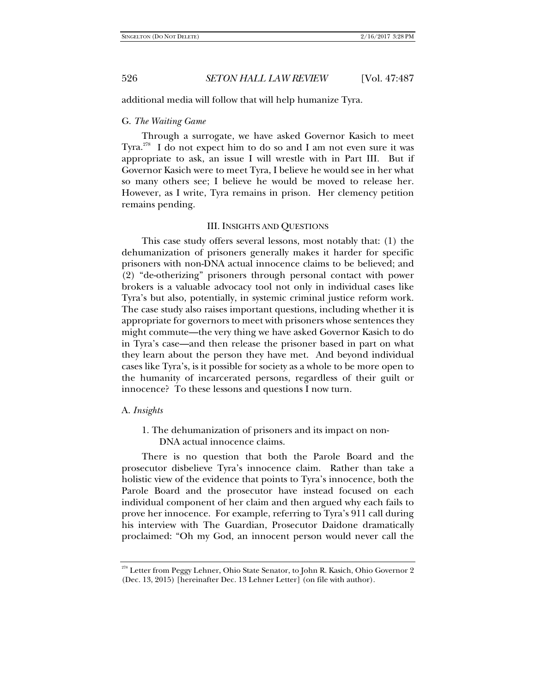additional media will follow that will help humanize Tyra.

# G. *The Waiting Game*

Through a surrogate, we have asked Governor Kasich to meet Tyra.<sup>278</sup> I do not expect him to do so and I am not even sure it was appropriate to ask, an issue I will wrestle with in Part III. But if Governor Kasich were to meet Tyra, I believe he would see in her what so many others see; I believe he would be moved to release her. However, as I write, Tyra remains in prison. Her clemency petition remains pending.

#### III. INSIGHTS AND QUESTIONS

This case study offers several lessons, most notably that: (1) the dehumanization of prisoners generally makes it harder for specific prisoners with non-DNA actual innocence claims to be believed; and (2) "de-otherizing" prisoners through personal contact with power brokers is a valuable advocacy tool not only in individual cases like Tyra's but also, potentially, in systemic criminal justice reform work. The case study also raises important questions, including whether it is appropriate for governors to meet with prisoners whose sentences they might commute—the very thing we have asked Governor Kasich to do in Tyra's case—and then release the prisoner based in part on what they learn about the person they have met. And beyond individual cases like Tyra's, is it possible for society as a whole to be more open to the humanity of incarcerated persons, regardless of their guilt or innocence? To these lessons and questions I now turn.

#### A. *Insights*

1. The dehumanization of prisoners and its impact on non-DNA actual innocence claims.

There is no question that both the Parole Board and the prosecutor disbelieve Tyra's innocence claim. Rather than take a holistic view of the evidence that points to Tyra's innocence, both the Parole Board and the prosecutor have instead focused on each individual component of her claim and then argued why each fails to prove her innocence. For example, referring to Tyra's 911 call during his interview with The Guardian, Prosecutor Daidone dramatically proclaimed: "Oh my God, an innocent person would never call the

<sup>278</sup> Letter from Peggy Lehner, Ohio State Senator, to John R. Kasich, Ohio Governor 2 (Dec. 13, 2015) [hereinafter Dec. 13 Lehner Letter] (on file with author).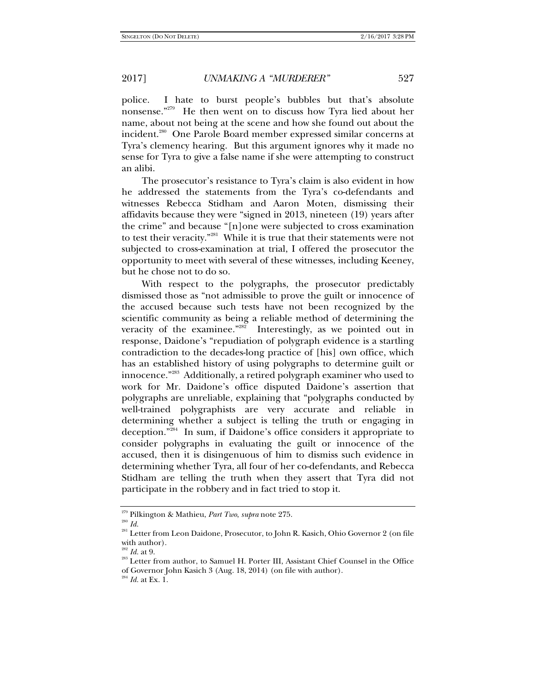police. I hate to burst people's bubbles but that's absolute nonsense."279 He then went on to discuss how Tyra lied about her name, about not being at the scene and how she found out about the incident.<sup>280</sup> One Parole Board member expressed similar concerns at Tyra's clemency hearing. But this argument ignores why it made no sense for Tyra to give a false name if she were attempting to construct an alibi.

The prosecutor's resistance to Tyra's claim is also evident in how he addressed the statements from the Tyra's co-defendants and witnesses Rebecca Stidham and Aaron Moten, dismissing their affidavits because they were "signed in 2013, nineteen (19) years after the crime" and because "[n]one were subjected to cross examination to test their veracity."281 While it is true that their statements were not subjected to cross-examination at trial, I offered the prosecutor the opportunity to meet with several of these witnesses, including Keeney, but he chose not to do so.

With respect to the polygraphs, the prosecutor predictably dismissed those as "not admissible to prove the guilt or innocence of the accused because such tests have not been recognized by the scientific community as being a reliable method of determining the veracity of the examinee."<sup>282</sup> Interestingly, as we pointed out in response, Daidone's "repudiation of polygraph evidence is a startling contradiction to the decades-long practice of [his] own office, which has an established history of using polygraphs to determine guilt or innocence."283 Additionally, a retired polygraph examiner who used to work for Mr. Daidone's office disputed Daidone's assertion that polygraphs are unreliable, explaining that "polygraphs conducted by well-trained polygraphists are very accurate and reliable in determining whether a subject is telling the truth or engaging in deception."<sup>284</sup> In sum, if Daidone's office considers it appropriate to consider polygraphs in evaluating the guilt or innocence of the accused, then it is disingenuous of him to dismiss such evidence in determining whether Tyra, all four of her co-defendants, and Rebecca Stidham are telling the truth when they assert that Tyra did not participate in the robbery and in fact tried to stop it.

<sup>284</sup> *Id.* at Ex. 1.

<sup>279</sup> Pilkington & Mathieu, *Part Two*, *supra* note 275. 280 *Id.*

<sup>&</sup>lt;sup>281</sup> Letter from Leon Daidone, Prosecutor, to John R. Kasich, Ohio Governor 2 (on file with author).<br> $282$  *Id.* at 9.

<sup>&</sup>lt;sup>283</sup> Letter from author, to Samuel H. Porter III, Assistant Chief Counsel in the Office

of Governor John Kasich 3 (Aug. 18, 2014) (on file with author).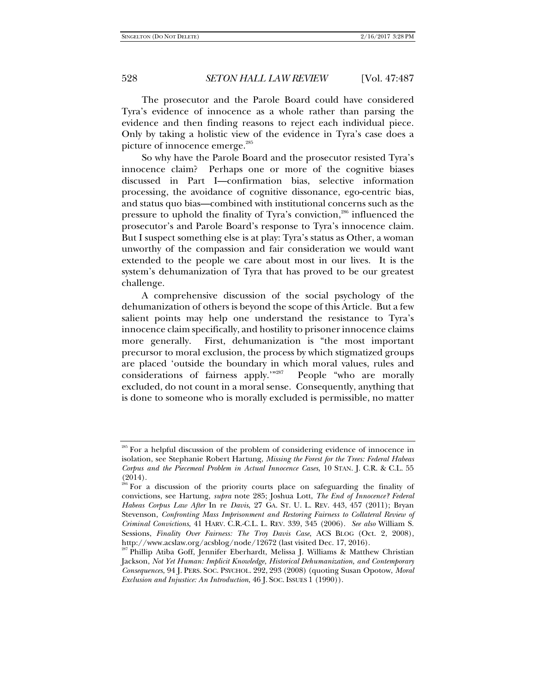The prosecutor and the Parole Board could have considered Tyra's evidence of innocence as a whole rather than parsing the evidence and then finding reasons to reject each individual piece. Only by taking a holistic view of the evidence in Tyra's case does a picture of innocence emerge.<sup>285</sup>

So why have the Parole Board and the prosecutor resisted Tyra's innocence claim? Perhaps one or more of the cognitive biases discussed in Part I—confirmation bias, selective information processing, the avoidance of cognitive dissonance, ego-centric bias, and status quo bias—combined with institutional concerns such as the pressure to uphold the finality of Tyra's conviction,<sup>286</sup> influenced the prosecutor's and Parole Board's response to Tyra's innocence claim. But I suspect something else is at play: Tyra's status as Other, a woman unworthy of the compassion and fair consideration we would want extended to the people we care about most in our lives. It is the system's dehumanization of Tyra that has proved to be our greatest challenge.

A comprehensive discussion of the social psychology of the dehumanization of others is beyond the scope of this Article. But a few salient points may help one understand the resistance to Tyra's innocence claim specifically, and hostility to prisoner innocence claims more generally. First, dehumanization is "the most important precursor to moral exclusion, the process by which stigmatized groups are placed 'outside the boundary in which moral values, rules and considerations of fairness apply.'"287 People "who are morally excluded, do not count in a moral sense. Consequently, anything that is done to someone who is morally excluded is permissible, no matter

<sup>&</sup>lt;sup>285</sup> For a helpful discussion of the problem of considering evidence of innocence in isolation, see Stephanie Robert Hartung, *Missing the Forest for the Trees: Federal Habeas Corpus and the Piecemeal Problem in Actual Innocence Cases*, 10 STAN. J. C.R. & C.L. 55 (2014).

<sup>&</sup>lt;sup>286</sup> For a discussion of the priority courts place on safeguarding the finality of convictions, see Hartung, *supra* note 285; Joshua Lott, *The End of Innocence? Federal Habeas Corpus Law After* In re *Davis*, 27 GA. ST. U. L. REV. 443, 457 (2011); Bryan Stevenson, *Confronting Mass Imprisonment and Restoring Fairness to Collateral Review of Criminal Convictions*, 41 HARV. C.R.-C.L. L. REV. 339, 345 (2006). *See also* William S. Sessions, *Finality Over Fairness: The Troy Davis Case*, ACS BLOG (Oct. 2, 2008), http://www.acslaw.org/acsblog/node/12672 (last visited Dec. 17, 2016).

<sup>287</sup> Phillip Atiba Goff, Jennifer Eberhardt, Melissa J. Williams & Matthew Christian Jackson, *Not Yet Human: Implicit Knowledge, Historical Dehumanization, and Contemporary Consequences*, 94 J. PERS. SOC. PSYCHOL. 292, 293 (2008) (quoting Susan Opotow, *Moral Exclusion and Injustice: An Introduction*, 46 J. SOC. ISSUES 1 (1990)).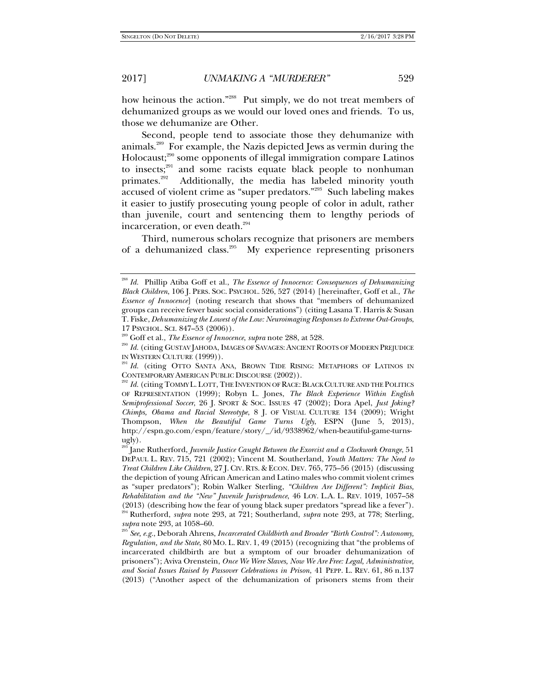how heinous the action."<sup>288</sup> Put simply, we do not treat members of dehumanized groups as we would our loved ones and friends. To us, those we dehumanize are Other.

Second, people tend to associate those they dehumanize with animals.289 For example, the Nazis depicted Jews as vermin during the Holocaust;<sup>290</sup> some opponents of illegal immigration compare Latinos to insects; $291$  and some racists equate black people to nonhuman primates.<sup>292</sup> Additionally, the media has labeled minority youth accused of violent crime as "super predators."293 Such labeling makes it easier to justify prosecuting young people of color in adult, rather than juvenile, court and sentencing them to lengthy periods of incarceration, or even death.<sup>294</sup>

Third, numerous scholars recognize that prisoners are members of a dehumanized class.<sup>295</sup> My experience representing prisoners

 $^3$  Jane Rutherford, *Juvenile Justice Caught Between the Exorcist and a Clockwork Orange*, 51 DEPAUL L. REV. 715, 721 (2002); Vincent M. Southerland, *Youth Matters: The Need to Treat Children Like Children*, 27 J. CIV. RTS. & ECON. DEV. 765, 775–56 (2015) (discussing the depiction of young African American and Latino males who commit violent crimes as "super predators"); Robin Walker Sterling, *"Children Are Different": Implicit Bias, Rehabilitation and the "New" Juvenile Jurisprudence*, 46 LOY. L.A. L. REV. 1019, 1057–58 (2013) (describing how the fear of young black super predators "spread like a fever"). 294 Rutherford, *supra* note 293, at 721; Southerland, *supra* note 293, at 778; Sterling,

<sup>295</sup> *See, e.g., Deborah Ahrens, Incarcerated Childbirth and Broader "Birth Control": Autonomy, Regulation, and the State*, 80 MO. L. REV. 1, 49 (2015) (recognizing that "the problems of incarcerated childbirth are but a symptom of our broader dehumanization of prisoners"); Aviva Orenstein, *Once We Were Slaves, Now We Are Free: Legal, Administrative, and Social Issues Raised by Passover Celebrations in Prison*, 41 PEPP. L. REV. 61, 86 n.137 (2013) ("Another aspect of the dehumanization of prisoners stems from their

<sup>288</sup> *Id.* Phillip Atiba Goff et al., *The Essence of Innocence: Consequences of Dehumanizing Black Children*, 106 J. PERS. SOC. PSYCHOL. 526, 527 (2014) [hereinafter, Goff et al., *The Essence of Innocence*] (noting research that shows that "members of dehumanized groups can receive fewer basic social considerations") (citing Lasana T. Harris & Susan T. Fiske, *Dehumanizing the Lowest of the Low: Neuroimaging Responses to Extreme Out-Groups*,

<sup>&</sup>lt;sup>289</sup> Goff et al., *The Essence of Innocence, supra* note 288, at 528.<br><sup>290</sup> *Id.* (citing GUSTAV JAHODA, IMAGES OF SAVAGES: ANCIENT ROOTS OF MODERN PREJUDICE IN WESTERN CULTURE (1999)).

<sup>&</sup>lt;sup>291</sup> Id. (citing OTTO SANTA ANA, BROWN TIDE RISING: METAPHORS OF LATINOS IN CONTEMPORARY AMERICAN PUBLIC DISCOURSE (2002)).

<sup>&</sup>lt;sup>292</sup> Id. (citing TOMMY L. LOTT, THE INVENTION OF RACE: BLACK CULTURE AND THE POLITICS OF REPRESENTATION (1999); Robyn L. Jones, *The Black Experience Within English Semiprofessional Soccer*, 26 J. SPORT & SOC. ISSUES 47 (2002); Dora Apel, *Just Joking? Chimps, Obama and Racial Stereotype*, 8 J. OF VISUAL CULTURE 134 (2009); Wright Thompson, *When the Beautiful Game Turns Ugly*, ESPN (June 5, 2013), http://espn.go.com/espn/feature/story/\_/id/9338962/when-beautiful-game-turnsugly).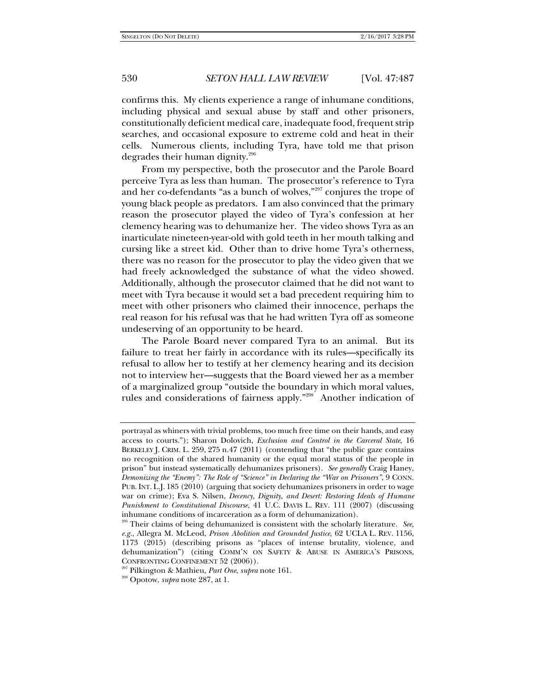confirms this. My clients experience a range of inhumane conditions, including physical and sexual abuse by staff and other prisoners, constitutionally deficient medical care, inadequate food, frequent strip searches, and occasional exposure to extreme cold and heat in their cells. Numerous clients, including Tyra, have told me that prison degrades their human dignity.296

From my perspective, both the prosecutor and the Parole Board perceive Tyra as less than human. The prosecutor's reference to Tyra and her co-defendants "as a bunch of wolves,"<sup>297</sup> conjures the trope of young black people as predators. I am also convinced that the primary reason the prosecutor played the video of Tyra's confession at her clemency hearing was to dehumanize her. The video shows Tyra as an inarticulate nineteen-year-old with gold teeth in her mouth talking and cursing like a street kid. Other than to drive home Tyra's otherness, there was no reason for the prosecutor to play the video given that we had freely acknowledged the substance of what the video showed. Additionally, although the prosecutor claimed that he did not want to meet with Tyra because it would set a bad precedent requiring him to meet with other prisoners who claimed their innocence, perhaps the real reason for his refusal was that he had written Tyra off as someone undeserving of an opportunity to be heard.

The Parole Board never compared Tyra to an animal. But its failure to treat her fairly in accordance with its rules—specifically its refusal to allow her to testify at her clemency hearing and its decision not to interview her—suggests that the Board viewed her as a member of a marginalized group "outside the boundary in which moral values, rules and considerations of fairness apply."298 Another indication of

portrayal as whiners with trivial problems, too much free time on their hands, and easy access to courts."); Sharon Dolovich, *Exclusion and Control in the Carceral State*, 16 BERKELEY J. CRIM. L. 259, 275 n.47 (2011) (contending that "the public gaze contains no recognition of the shared humanity or the equal moral status of the people in prison" but instead systematically dehumanizes prisoners). *See generally* Craig Haney, *Demonizing the "Enemy": The Role of "Science" in Declaring the "War on Prisoners"*, 9 CONN. PUB. INT. L.J. 185 (2010) (arguing that society dehumanizes prisoners in order to wage war on crime); Eva S. Nilsen, *Decency, Dignity, and Desert: Restoring Ideals of Humane Punishment to Constitutional Discourse*, 41 U.C. DAVIS L. REV. 111 (2007) (discussing inhumane conditions of incarceration as a form of dehumanization).

<sup>296</sup> Their claims of being dehumanized is consistent with the scholarly literature. *See, e.g.*, Allegra M. McLeod, *Prison Abolition and Grounded Justice*, 62 UCLA L. REV. 1156, 1173 (2015) (describing prisons as "places of intense brutality, violence, and dehumanization") (citing COMM'N ON SAFETY & ABUSE IN AMERICA'S PRISONS, CONFRONTING CONFINEMENT 52 (2006)). 297 Pilkington & Mathieu, *Part One*, *supra* note 161. 298 Opotow, *supra* note 287, at 1.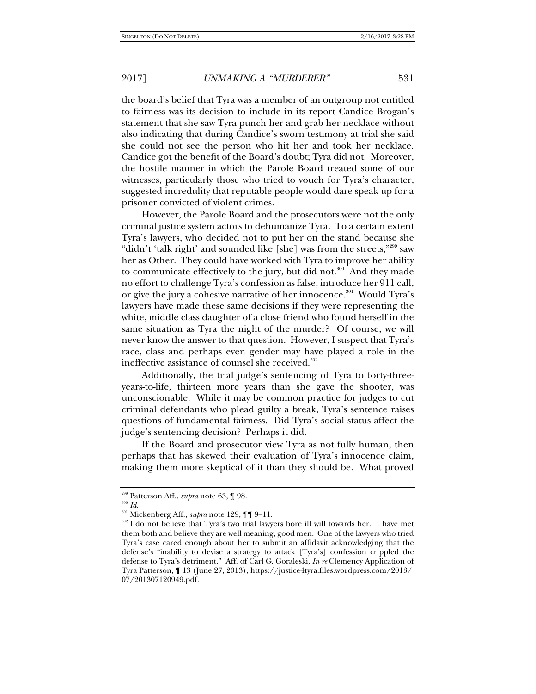the board's belief that Tyra was a member of an outgroup not entitled to fairness was its decision to include in its report Candice Brogan's statement that she saw Tyra punch her and grab her necklace without also indicating that during Candice's sworn testimony at trial she said she could not see the person who hit her and took her necklace. Candice got the benefit of the Board's doubt; Tyra did not. Moreover, the hostile manner in which the Parole Board treated some of our witnesses, particularly those who tried to vouch for Tyra's character, suggested incredulity that reputable people would dare speak up for a prisoner convicted of violent crimes.

However, the Parole Board and the prosecutors were not the only criminal justice system actors to dehumanize Tyra. To a certain extent Tyra's lawyers, who decided not to put her on the stand because she "didn't 'talk right' and sounded like [she] was from the streets,"<sup>299</sup> saw her as Other. They could have worked with Tyra to improve her ability to communicate effectively to the jury, but did not. $300$  And they made no effort to challenge Tyra's confession as false, introduce her 911 call, or give the jury a cohesive narrative of her innocence.<sup>301</sup> Would Tyra's lawyers have made these same decisions if they were representing the white, middle class daughter of a close friend who found herself in the same situation as Tyra the night of the murder? Of course, we will never know the answer to that question. However, I suspect that Tyra's race, class and perhaps even gender may have played a role in the ineffective assistance of counsel she received.<sup>302</sup>

Additionally, the trial judge's sentencing of Tyra to forty-threeyears-to-life, thirteen more years than she gave the shooter, was unconscionable. While it may be common practice for judges to cut criminal defendants who plead guilty a break, Tyra's sentence raises questions of fundamental fairness. Did Tyra's social status affect the judge's sentencing decision? Perhaps it did.

If the Board and prosecutor view Tyra as not fully human, then perhaps that has skewed their evaluation of Tyra's innocence claim, making them more skeptical of it than they should be. What proved

<sup>&</sup>lt;sup>299</sup> Patterson Aff., *supra* note 63, ¶ 98.<br><sup>300</sup> *Id.*<br><sup>301</sup> Mickenberg Aff., *supra* note 129, ¶¶ 9–11.

<sup>&</sup>lt;sup>302</sup> I do not believe that Tyra's two trial lawyers bore ill will towards her. I have met them both and believe they are well meaning, good men. One of the lawyers who tried Tyra's case cared enough about her to submit an affidavit acknowledging that the defense's "inability to devise a strategy to attack [Tyra's] confession crippled the defense to Tyra's detriment." Aff. of Carl G. Goraleski, *In re* Clemency Application of Tyra Patterson, ¶ 13 (June 27, 2013), https://justice4tyra.files.wordpress.com/2013/ 07/201307120949.pdf.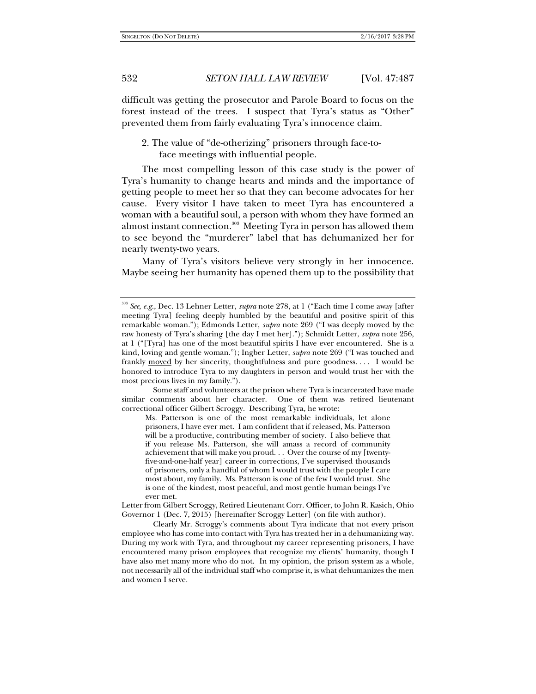difficult was getting the prosecutor and Parole Board to focus on the forest instead of the trees. I suspect that Tyra's status as "Other" prevented them from fairly evaluating Tyra's innocence claim.

2. The value of "de-otherizing" prisoners through face-toface meetings with influential people.

The most compelling lesson of this case study is the power of Tyra's humanity to change hearts and minds and the importance of getting people to meet her so that they can become advocates for her cause. Every visitor I have taken to meet Tyra has encountered a woman with a beautiful soul, a person with whom they have formed an almost instant connection.<sup>303</sup> Meeting Tyra in person has allowed them to see beyond the "murderer" label that has dehumanized her for nearly twenty-two years.

Many of Tyra's visitors believe very strongly in her innocence. Maybe seeing her humanity has opened them up to the possibility that

Some staff and volunteers at the prison where Tyra is incarcerated have made similar comments about her character. One of them was retired lieutenant correctional officer Gilbert Scroggy. Describing Tyra, he wrote:

Ms. Patterson is one of the most remarkable individuals, let alone prisoners, I have ever met. I am confident that if released, Ms. Patterson will be a productive, contributing member of society. I also believe that if you release Ms. Patterson, she will amass a record of community achievement that will make you proud. . . Over the course of my [twentyfive-and-one-half year] career in corrections, I've supervised thousands of prisoners, only a handful of whom I would trust with the people I care most about, my family. Ms. Patterson is one of the few I would trust. She is one of the kindest, most peaceful, and most gentle human beings I've ever met.

Letter from Gilbert Scroggy, Retired Lieutenant Corr. Officer, to John R. Kasich, Ohio Governor 1 (Dec. 7, 2015) [hereinafter Scroggy Letter] (on file with author).

Clearly Mr. Scroggy's comments about Tyra indicate that not every prison employee who has come into contact with Tyra has treated her in a dehumanizing way. During my work with Tyra, and throughout my career representing prisoners, I have encountered many prison employees that recognize my clients' humanity, though I have also met many more who do not. In my opinion, the prison system as a whole, not necessarily all of the individual staff who comprise it, is what dehumanizes the men and women I serve.

<sup>303</sup> *See, e.g.*, Dec. 13 Lehner Letter, *supra* note 278, at 1 ("Each time I come away [after meeting Tyra] feeling deeply humbled by the beautiful and positive spirit of this remarkable woman."); Edmonds Letter, *supra* note 269 ("I was deeply moved by the raw honesty of Tyra's sharing [the day I met her]."); Schmidt Letter, *supra* note 256, at 1 ("[Tyra] has one of the most beautiful spirits I have ever encountered. She is a kind, loving and gentle woman."); Ingber Letter, *supra* note 269 ("I was touched and frankly moved by her sincerity, thoughtfulness and pure goodness.... I would be honored to introduce Tyra to my daughters in person and would trust her with the most precious lives in my family.").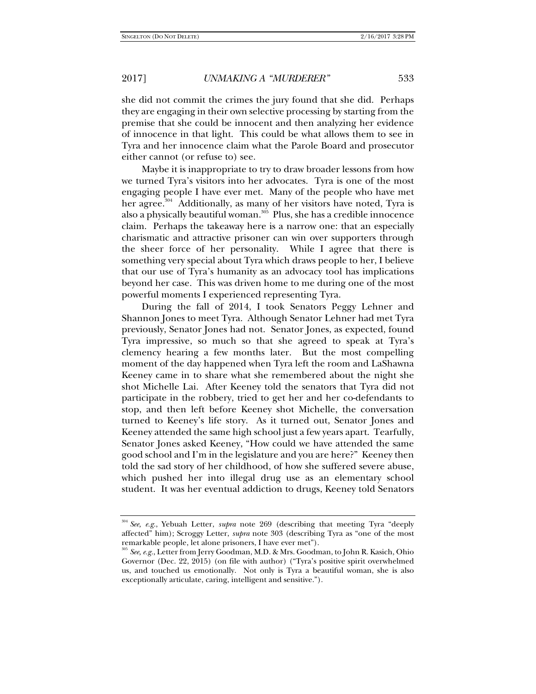she did not commit the crimes the jury found that she did. Perhaps they are engaging in their own selective processing by starting from the premise that she could be innocent and then analyzing her evidence of innocence in that light. This could be what allows them to see in Tyra and her innocence claim what the Parole Board and prosecutor either cannot (or refuse to) see.

Maybe it is inappropriate to try to draw broader lessons from how we turned Tyra's visitors into her advocates. Tyra is one of the most engaging people I have ever met. Many of the people who have met her agree.<sup>304</sup> Additionally, as many of her visitors have noted, Tyra is also a physically beautiful woman.<sup>305</sup> Plus, she has a credible innocence claim. Perhaps the takeaway here is a narrow one: that an especially charismatic and attractive prisoner can win over supporters through the sheer force of her personality. While I agree that there is something very special about Tyra which draws people to her, I believe that our use of Tyra's humanity as an advocacy tool has implications beyond her case. This was driven home to me during one of the most powerful moments I experienced representing Tyra.

During the fall of 2014, I took Senators Peggy Lehner and Shannon Jones to meet Tyra. Although Senator Lehner had met Tyra previously, Senator Jones had not. Senator Jones, as expected, found Tyra impressive, so much so that she agreed to speak at Tyra's clemency hearing a few months later. But the most compelling moment of the day happened when Tyra left the room and LaShawna Keeney came in to share what she remembered about the night she shot Michelle Lai. After Keeney told the senators that Tyra did not participate in the robbery, tried to get her and her co-defendants to stop, and then left before Keeney shot Michelle, the conversation turned to Keeney's life story. As it turned out, Senator Jones and Keeney attended the same high school just a few years apart. Tearfully, Senator Jones asked Keeney, "How could we have attended the same good school and I'm in the legislature and you are here?" Keeney then told the sad story of her childhood, of how she suffered severe abuse, which pushed her into illegal drug use as an elementary school student. It was her eventual addiction to drugs, Keeney told Senators

<sup>304</sup> *See, e.g.*, Yebuah Letter, *supra* note 269 (describing that meeting Tyra "deeply affected" him); Scroggy Letter, *supra* note 303 (describing Tyra as "one of the most remarkable people, let alone prisoners, I have ever met").

<sup>305</sup> *See, e.g.*, Letter from Jerry Goodman, M.D. & Mrs. Goodman, to John R. Kasich, Ohio Governor (Dec. 22, 2015) (on file with author) ("Tyra's positive spirit overwhelmed us, and touched us emotionally. Not only is Tyra a beautiful woman, she is also exceptionally articulate, caring, intelligent and sensitive.").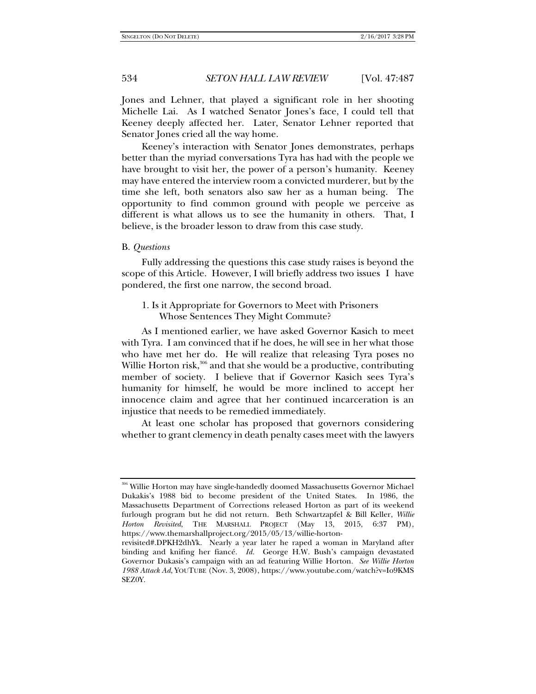Jones and Lehner, that played a significant role in her shooting Michelle Lai. As I watched Senator Jones's face, I could tell that Keeney deeply affected her. Later, Senator Lehner reported that Senator Jones cried all the way home.

Keeney's interaction with Senator Jones demonstrates, perhaps better than the myriad conversations Tyra has had with the people we have brought to visit her, the power of a person's humanity. Keeney may have entered the interview room a convicted murderer, but by the time she left, both senators also saw her as a human being. The opportunity to find common ground with people we perceive as different is what allows us to see the humanity in others. That, I believe, is the broader lesson to draw from this case study.

#### B. *Questions*

Fully addressing the questions this case study raises is beyond the scope of this Article. However, I will briefly address two issues I have pondered, the first one narrow, the second broad.

# 1. Is it Appropriate for Governors to Meet with Prisoners Whose Sentences They Might Commute?

As I mentioned earlier, we have asked Governor Kasich to meet with Tyra. I am convinced that if he does, he will see in her what those who have met her do. He will realize that releasing Tyra poses no Willie Horton risk,<sup>306</sup> and that she would be a productive, contributing member of society. I believe that if Governor Kasich sees Tyra's humanity for himself, he would be more inclined to accept her innocence claim and agree that her continued incarceration is an injustice that needs to be remedied immediately.

At least one scholar has proposed that governors considering whether to grant clemency in death penalty cases meet with the lawyers

<sup>306</sup> Willie Horton may have single-handedly doomed Massachusetts Governor Michael Dukakis's 1988 bid to become president of the United States. In 1986, the Massachusetts Department of Corrections released Horton as part of its weekend furlough program but he did not return. Beth Schwartzapfel & Bill Keller, *Willie Horton Revisited*, THE MARSHALL PROJECT (May 13, 2015, 6:37 PM), https://www.themarshallproject.org/2015/05/13/willie-horton-

revisited#.DPKH2dhYk. Nearly a year later he raped a woman in Maryland after binding and knifing her fiancé. *Id.* George H.W. Bush's campaign devastated Governor Dukasis's campaign with an ad featuring Willie Horton. *See Willie Horton 1988 Attack Ad*, YOUTUBE (Nov. 3, 2008), https://www.youtube.com/watch?v=Io9KMS SEZ0Y.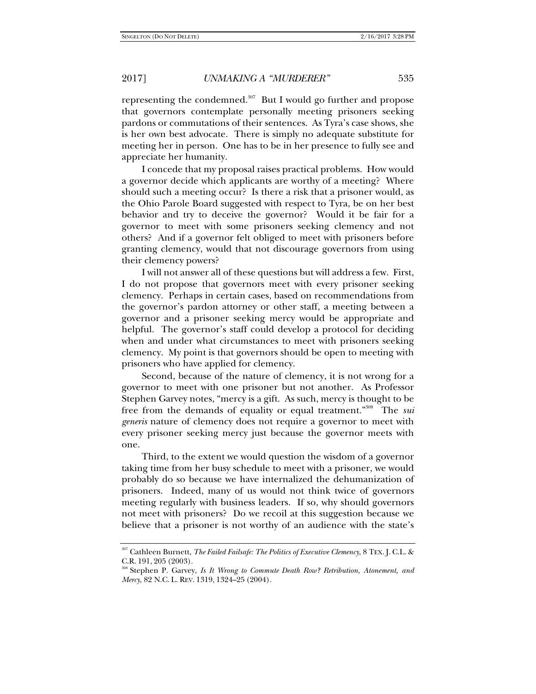representing the condemned. $307$  But I would go further and propose that governors contemplate personally meeting prisoners seeking pardons or commutations of their sentences. As Tyra's case shows, she is her own best advocate. There is simply no adequate substitute for meeting her in person. One has to be in her presence to fully see and appreciate her humanity.

I concede that my proposal raises practical problems. How would a governor decide which applicants are worthy of a meeting? Where should such a meeting occur? Is there a risk that a prisoner would, as the Ohio Parole Board suggested with respect to Tyra, be on her best behavior and try to deceive the governor? Would it be fair for a governor to meet with some prisoners seeking clemency and not others? And if a governor felt obliged to meet with prisoners before granting clemency, would that not discourage governors from using their clemency powers?

I will not answer all of these questions but will address a few. First, I do not propose that governors meet with every prisoner seeking clemency. Perhaps in certain cases, based on recommendations from the governor's pardon attorney or other staff, a meeting between a governor and a prisoner seeking mercy would be appropriate and helpful. The governor's staff could develop a protocol for deciding when and under what circumstances to meet with prisoners seeking clemency. My point is that governors should be open to meeting with prisoners who have applied for clemency.

Second, because of the nature of clemency, it is not wrong for a governor to meet with one prisoner but not another. As Professor Stephen Garvey notes, "mercy is a gift. As such, mercy is thought to be free from the demands of equality or equal treatment."308 The *sui generis* nature of clemency does not require a governor to meet with every prisoner seeking mercy just because the governor meets with one.

Third, to the extent we would question the wisdom of a governor taking time from her busy schedule to meet with a prisoner, we would probably do so because we have internalized the dehumanization of prisoners. Indeed, many of us would not think twice of governors meeting regularly with business leaders. If so, why should governors not meet with prisoners? Do we recoil at this suggestion because we believe that a prisoner is not worthy of an audience with the state's

<sup>307</sup> Cathleen Burnett, *The Failed Failsafe: The Politics of Executive Clemency*, 8 TEX. J. C.L. & C.R. 191, 205 (2003).<br><sup>308</sup> Stephen P. Garvey, *Is It Wrong to Commute Death Row? Retribution, Atonement, and* 

*Mercy*, 82 N.C. L. REV. 1319, 1324–25 (2004).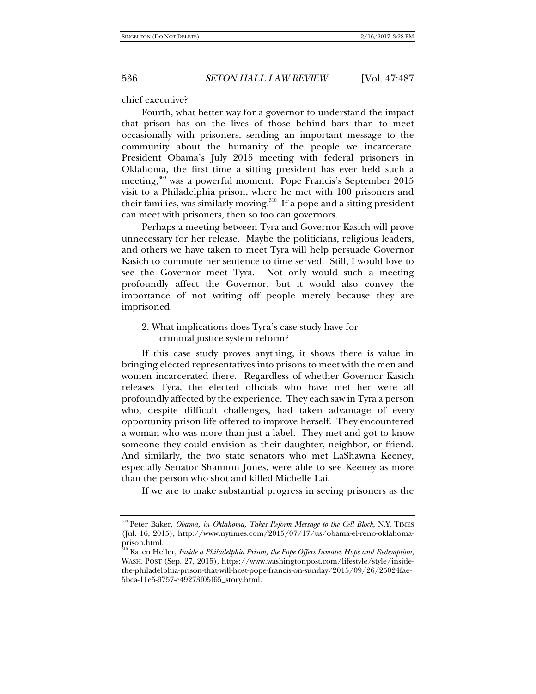chief executive?

Fourth, what better way for a governor to understand the impact that prison has on the lives of those behind bars than to meet occasionally with prisoners, sending an important message to the community about the humanity of the people we incarcerate. President Obama's July 2015 meeting with federal prisoners in Oklahoma, the first time a sitting president has ever held such a meeting,<sup>309</sup> was a powerful moment. Pope Francis's September 2015 visit to a Philadelphia prison, where he met with 100 prisoners and their families, was similarly moving.<sup>310</sup> If a pope and a sitting president can meet with prisoners, then so too can governors.

Perhaps a meeting between Tyra and Governor Kasich will prove unnecessary for her release. Maybe the politicians, religious leaders, and others we have taken to meet Tyra will help persuade Governor Kasich to commute her sentence to time served. Still, I would love to see the Governor meet Tyra. Not only would such a meeting profoundly affect the Governor, but it would also convey the importance of not writing off people merely because they are imprisoned.

2. What implications does Tyra's case study have for criminal justice system reform?

If this case study proves anything, it shows there is value in bringing elected representatives into prisons to meet with the men and women incarcerated there. Regardless of whether Governor Kasich releases Tyra, the elected officials who have met her were all profoundly affected by the experience. They each saw in Tyra a person who, despite difficult challenges, had taken advantage of every opportunity prison life offered to improve herself. They encountered a woman who was more than just a label. They met and got to know someone they could envision as their daughter, neighbor, or friend. And similarly, the two state senators who met LaShawna Keeney, especially Senator Shannon Jones, were able to see Keeney as more than the person who shot and killed Michelle Lai.

If we are to make substantial progress in seeing prisoners as the

<sup>309</sup> Peter Baker, *Obama, in Oklahoma, Takes Reform Message to the Cell Block*, N.Y. TIMES (Jul. 16, 2015), http://www.nytimes.com/2015/07/17/us/obama-el-reno-oklahomaprison.html.

<sup>310</sup> Karen Heller, *Inside a Philadelphia Prison, the Pope Offers Inmates Hope and Redemption*, WASH. POST (Sep. 27, 2015), https://www.washingtonpost.com/lifestyle/style/insidethe-philadelphia-prison-that-will-host-pope-francis-on-sunday/2015/09/26/25024fae-5bca-11e5-9757-e49273f05f65\_story.html.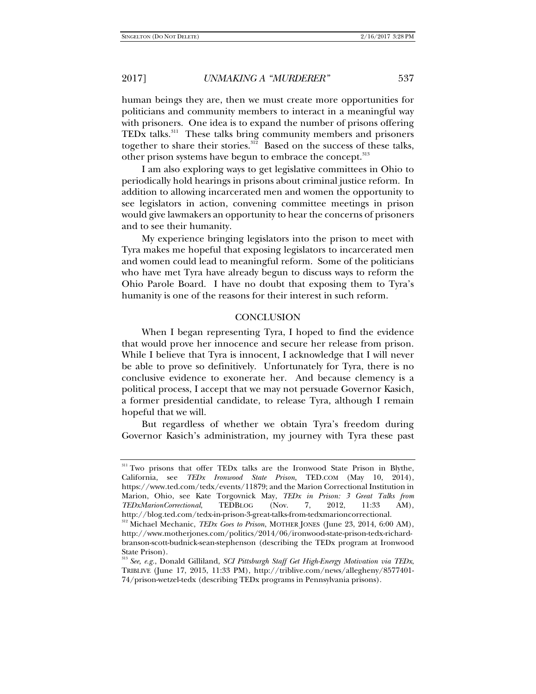human beings they are, then we must create more opportunities for politicians and community members to interact in a meaningful way with prisoners. One idea is to expand the number of prisons offering TEDx talks.<sup>311</sup> These talks bring community members and prisoners together to share their stories. $312$  Based on the success of these talks, other prison systems have begun to embrace the concept.<sup>313</sup>

I am also exploring ways to get legislative committees in Ohio to periodically hold hearings in prisons about criminal justice reform. In addition to allowing incarcerated men and women the opportunity to see legislators in action, convening committee meetings in prison would give lawmakers an opportunity to hear the concerns of prisoners and to see their humanity.

My experience bringing legislators into the prison to meet with Tyra makes me hopeful that exposing legislators to incarcerated men and women could lead to meaningful reform. Some of the politicians who have met Tyra have already begun to discuss ways to reform the Ohio Parole Board. I have no doubt that exposing them to Tyra's humanity is one of the reasons for their interest in such reform.

### **CONCLUSION**

When I began representing Tyra, I hoped to find the evidence that would prove her innocence and secure her release from prison. While I believe that Tyra is innocent, I acknowledge that I will never be able to prove so definitively. Unfortunately for Tyra, there is no conclusive evidence to exonerate her. And because clemency is a political process, I accept that we may not persuade Governor Kasich, a former presidential candidate, to release Tyra, although I remain hopeful that we will.

But regardless of whether we obtain Tyra's freedom during Governor Kasich's administration, my journey with Tyra these past

<sup>&</sup>lt;sup>311</sup> Two prisons that offer TEDx talks are the Ironwood State Prison in Blythe, California, see *TEDx Ironwood State Prison*, TED.COM (May 10, 2014), https://www.ted.com/tedx/events/11879; and the Marion Correctional Institution in Marion, Ohio, see Kate Torgovnick May, *TEDx in Prison: 3 Great Talks from TEDxMarionCorrectional*, TEDBLOG (Nov. 7, 2012, 11:33 AM), http://blog.ted.com/tedx-in-prison-3-great-talks-from-tedxmarioncorrectional.

<sup>312</sup> Michael Mechanic, *TEDx Goes to Prison*, MOTHER JONES (June 23, 2014, 6:00 AM), http://www.motherjones.com/politics/2014/06/ironwood-state-prison-tedx-richardbranson-scott-budnick-sean-stephenson (describing the TEDx program at Ironwood State Prison).

<sup>313</sup> *See, e.g.*, Donald Gilliland, *SCI Pittsburgh Staff Get High-Energy Motivation via TEDx*, TRIBLIVE (June 17, 2015, 11:33 PM), http://triblive.com/news/allegheny/8577401- 74/prison-wetzel-tedx (describing TEDx programs in Pennsylvania prisons).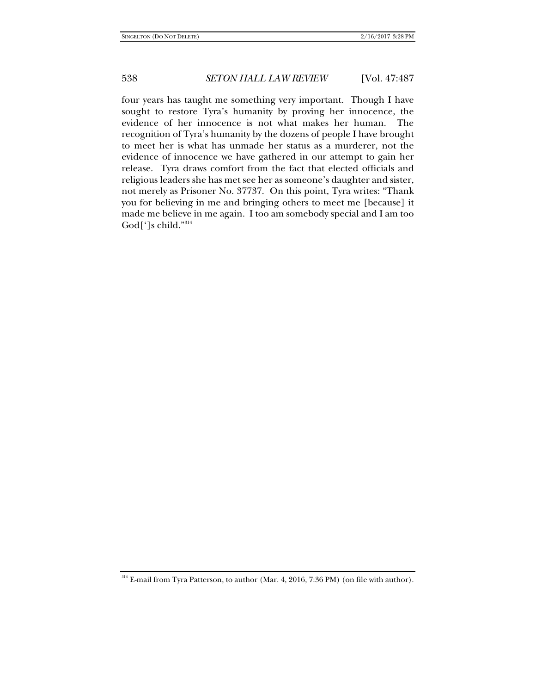four years has taught me something very important. Though I have sought to restore Tyra's humanity by proving her innocence, the evidence of her innocence is not what makes her human. The recognition of Tyra's humanity by the dozens of people I have brought to meet her is what has unmade her status as a murderer, not the evidence of innocence we have gathered in our attempt to gain her release. Tyra draws comfort from the fact that elected officials and religious leaders she has met see her as someone's daughter and sister, not merely as Prisoner No. 37737. On this point, Tyra writes: "Thank you for believing in me and bringing others to meet me [because] it made me believe in me again. I too am somebody special and I am too God[']s child."314

 $^{314}$  E-mail from Tyra Patterson, to author (Mar. 4, 2016, 7:36 PM) (on file with author).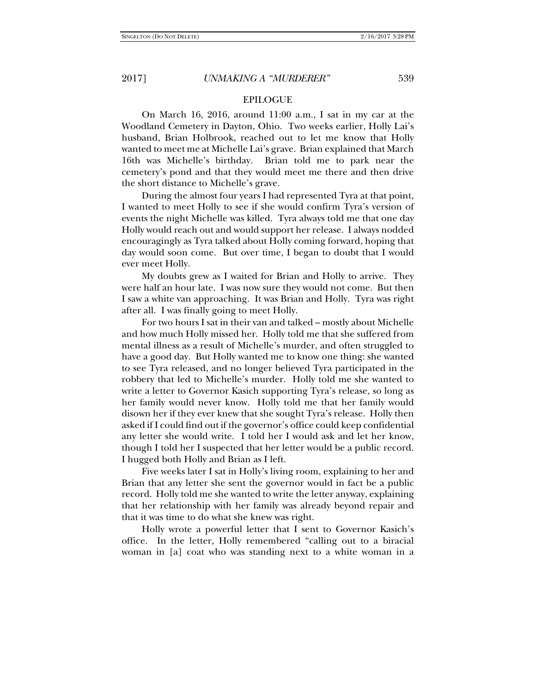### EPILOGUE

On March 16, 2016, around 11:00 a.m., I sat in my car at the Woodland Cemetery in Dayton, Ohio. Two weeks earlier, Holly Lai's husband, Brian Holbrook, reached out to let me know that Holly wanted to meet me at Michelle Lai's grave. Brian explained that March 16th was Michelle's birthday. Brian told me to park near the cemetery's pond and that they would meet me there and then drive the short distance to Michelle's grave.

During the almost four years I had represented Tyra at that point, I wanted to meet Holly to see if she would confirm Tyra's version of events the night Michelle was killed. Tyra always told me that one day Holly would reach out and would support her release. I always nodded encouragingly as Tyra talked about Holly coming forward, hoping that day would soon come. But over time, I began to doubt that I would ever meet Holly.

My doubts grew as I waited for Brian and Holly to arrive. They were half an hour late. I was now sure they would not come. But then I saw a white van approaching. It was Brian and Holly. Tyra was right after all. I was finally going to meet Holly.

For two hours I sat in their van and talked – mostly about Michelle and how much Holly missed her. Holly told me that she suffered from mental illness as a result of Michelle's murder, and often struggled to have a good day. But Holly wanted me to know one thing: she wanted to see Tyra released, and no longer believed Tyra participated in the robbery that led to Michelle's murder. Holly told me she wanted to write a letter to Governor Kasich supporting Tyra's release, so long as her family would never know. Holly told me that her family would disown her if they ever knew that she sought Tyra's release. Holly then asked if I could find out if the governor's office could keep confidential any letter she would write. I told her I would ask and let her know, though I told her I suspected that her letter would be a public record. I hugged both Holly and Brian as I left.

Five weeks later I sat in Holly's living room, explaining to her and Brian that any letter she sent the governor would in fact be a public record. Holly told me she wanted to write the letter anyway, explaining that her relationship with her family was already beyond repair and that it was time to do what she knew was right.

Holly wrote a powerful letter that I sent to Governor Kasich's office. In the letter, Holly remembered "calling out to a biracial woman in [a] coat who was standing next to a white woman in a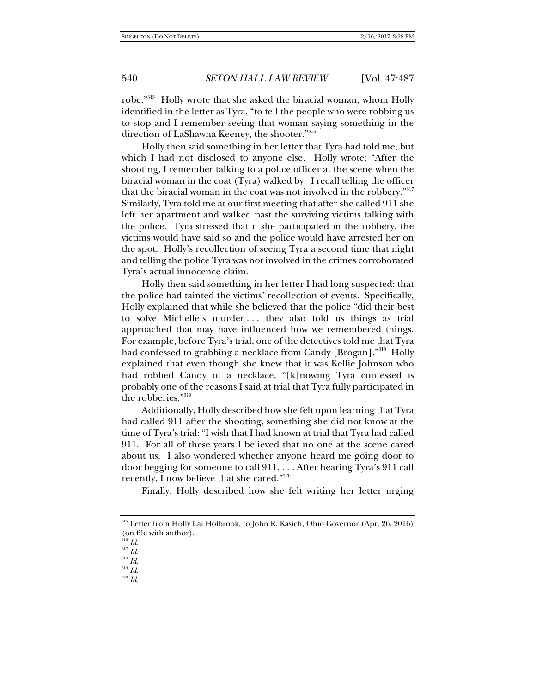robe."315 Holly wrote that she asked the biracial woman, whom Holly identified in the letter as Tyra, "to tell the people who were robbing us to stop and I remember seeing that woman saying something in the direction of LaShawna Keeney, the shooter."316

Holly then said something in her letter that Tyra had told me, but which I had not disclosed to anyone else. Holly wrote: "After the shooting, I remember talking to a police officer at the scene when the biracial woman in the coat (Tyra) walked by. I recall telling the officer that the biracial woman in the coat was not involved in the robbery."317 Similarly, Tyra told me at our first meeting that after she called 911 she left her apartment and walked past the surviving victims talking with the police. Tyra stressed that if she participated in the robbery, the victims would have said so and the police would have arrested her on the spot. Holly's recollection of seeing Tyra a second time that night and telling the police Tyra was not involved in the crimes corroborated Tyra's actual innocence claim.

Holly then said something in her letter I had long suspected: that the police had tainted the victims' recollection of events. Specifically, Holly explained that while she believed that the police "did their best to solve Michelle's murder . . . they also told us things as trial approached that may have influenced how we remembered things. For example, before Tyra's trial, one of the detectives told me that Tyra had confessed to grabbing a necklace from Candy [Brogan]."<sup>318</sup> Holly explained that even though she knew that it was Kellie Johnson who had robbed Candy of a necklace, "[k]nowing Tyra confessed is probably one of the reasons I said at trial that Tyra fully participated in the robberies."319

Additionally, Holly described how she felt upon learning that Tyra had called 911 after the shooting, something she did not know at the time of Tyra's trial: "I wish that I had known at trial that Tyra had called 911. For all of these years I believed that no one at the scene cared about us. I also wondered whether anyone heard me going door to door begging for someone to call 911. . . . After hearing Tyra's 911 call recently, I now believe that she cared."320

Finally, Holly described how she felt writing her letter urging

<sup>320</sup> *Id.*

<sup>315</sup> Letter from Holly Lai Holbrook, to John R. Kasich, Ohio Governor (Apr. 26, 2016) (on file with author).

 $^{16}$  *Id.* 

<sup>317</sup> *Id.*

<sup>318</sup> *Id.* <sup>319</sup> *Id.*